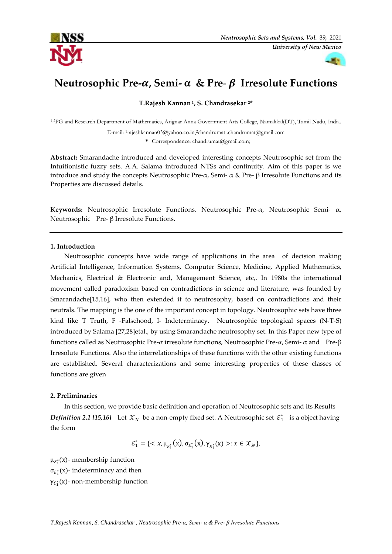



# **Neutrosophic Pre-, Semi- & Pre**- **Irresolute Functions**

**T.Rajesh Kannan <sup>1</sup> , S. Chandrasekar 2\***

1,2PG and Research Department of Mathematics, Arignar Anna Government Arts College, Namakkal(DT), Tamil Nadu, India.

E-mail: 1rajeshkannan03@yahoo.co.in,2chandrumat .chandrumat@gmail.com

**\*** Correspondence: chandrumat@gmail.com;

**Abstract:** Smarandache introduced and developed interesting concepts Neutrosophic set from the Intuitionistic fuzzy sets. A.A. Salama introduced NTSs and continuity. Aim of this paper is we introduce and study the concepts Neutrosophic Pre-α, Semi-  $\alpha$  & Pre- β Irresolute Functions and its Properties are discussed details.

**Keywords:** Neutrosophic Irresolute Functions, Neutrosophic Pre-α, Neutrosophic Semi- α, Neutrosophic Pre- β Irresolute Functions.

## **1. Introduction**

Neutrosophic concepts have wide range of applications in the area of decision making Artificial Intelligence, Information Systems, Computer Science, Medicine, Applied Mathematics, Mechanics, Electrical & Electronic and, Management Science, etc,. In 1980s the international movement called paradoxism based on contradictions in science and literature, was founded by Smarandache[15,16], who then extended it to neutrosophy, based on contradictions and their neutrals. The mapping is the one of the important concept in topology. Neutrosophic sets have three kind like T Truth, F -Falsehood, I- Indeterminacy. Neutrosophic topological spaces (N-T-S) introduced by Salama [27,28]etal., by using Smarandache neutrosophy set. In this Paper new type of functions called as Neutrosophic Pre-α irresolute functions, Neutrosophic Pre-α, Semi- α and Pre-β Irresolute Functions. Also the interrelationships of these functions with the other existing functions are established. Several characterizations and some interesting properties of these classes of functions are given

## **2. Preliminaries**

In this section, we provide basic definition and operation of Neutrosophic sets and its Results *Definition* 2.1 [15,16] Let  $\mathcal{X}_N$  be a non-empty fixed set. A Neutrosophic set  $\mathcal{E}_1^*$  is a object having the form

$$
\mathcal{E}_1^* = \{ \langle x, \mu_{\mathcal{E}_1^*}(x), \sigma_{\mathcal{E}_1^*}(x), \gamma_{\mathcal{E}_1^*}(x) \rangle : x \in \mathcal{X}_N \},
$$

 $\mu_{\mathcal{E}_1^*}(\mathsf{x})$ - membership function

 $\sigma_{\mathcal{E}_1^*}(x)$ - indeterminacy and then

γ $_{\mathcal{E}_{1}^{\ast}}(x)$ - non-membership function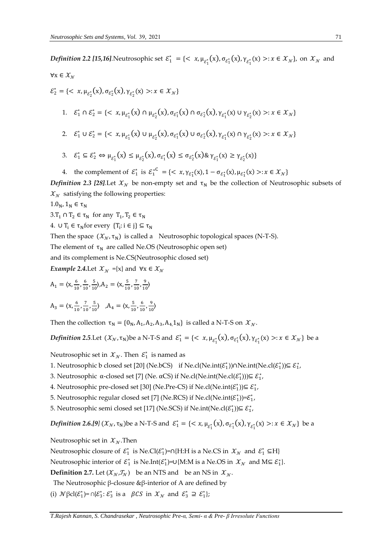*Definition 2.2 [15,16]*. Neutrosophic set  $\mathcal{E}_1^* = \{ \langle x, \mu_{\mathcal{E}_1^*}(x), \sigma_{\mathcal{E}_1^*}(x), \gamma_{\mathcal{E}_1^*}(x) >: x \in \mathcal{X}_N \}$ , on  $\mathcal{X}_N$  and  $\forall x \in \mathcal{X}_N$ 

$$
\mathcal{E}_{2}^{*} = \{ \langle x, \mu_{\mathcal{E}_{2}^{*}}(x), \sigma_{\mathcal{E}_{2}^{*}}(x), \gamma_{\mathcal{E}_{2}^{*}}(x) \rangle : x \in \mathcal{X}_{N} \}
$$
\n1. 
$$
\mathcal{E}_{1}^{*} \cap \mathcal{E}_{2}^{*} = \{ \langle x, \mu_{\mathcal{E}_{1}^{*}}(x) \cap \mu_{\mathcal{E}_{2}^{*}}(x), \sigma_{\mathcal{E}_{1}^{*}}(x) \cap \sigma_{\mathcal{E}_{2}^{*}}(x), \gamma_{\mathcal{E}_{1}^{*}}(x) \cup \gamma_{\mathcal{E}_{2}^{*}}(x) \rangle : x \in \mathcal{X}_{N} \}
$$
\n2. 
$$
\mathcal{E}_{1}^{*} \cup \mathcal{E}_{2}^{*} = \{ \langle x, \mu_{\mathcal{E}_{1}^{*}}(x) \cup \mu_{\mathcal{E}_{2}^{*}}(x), \sigma_{\mathcal{E}_{1}^{*}}(x) \cup \sigma_{\mathcal{E}_{2}^{*}}(x), \gamma_{\mathcal{E}_{1}^{*}}(x) \cap \gamma_{\mathcal{E}_{2}^{*}}(x) \rangle : x \in \mathcal{X}_{N} \}
$$

3. 
$$
\mathcal{E}_1^* \subseteq \mathcal{E}_2^* \Leftrightarrow \mu_{\mathcal{E}_1^*}(x) \leq \mu_{\mathcal{E}_2^*}(x), \sigma_{\mathcal{E}_1^*}(x) \leq \sigma_{\mathcal{E}_2^*}(x) \& \gamma_{\mathcal{E}_1^*}(x) \geq \gamma_{\mathcal{E}_2^*}(x)\}
$$

4. the complement of 
$$
\mathcal{E}_1^*
$$
 is  $\mathcal{E}_1^{*^C} = \{ \langle x, \gamma_{\mathcal{E}_1^*}(x), 1 - \sigma_{\mathcal{E}_1^*}(x), \mu_{\mathcal{E}_1^*}(x) \rangle : x \in \mathcal{X}_N \}$ 

*Definition 2.3 [28].Let*  $\mathcal{X}_N$  be non-empty set and  $\tau_N$  be the collection of Neutrosophic subsets of  $x<sub>w</sub>$  satisfying the following properties:

 $1.0_N$ ,  $1_N \in \tau_N$ 

 $3.T_1 \cap T_2 \in \tau_N$  for any  $T_1, T_2 \in \tau_N$ 

4.  $\cup$  T<sub>i</sub>  $\in \tau_N$  for every  $\{T_i : i \in j\} \subseteq \tau_N$ 

Then the space  $(\mathcal{X}_N, \tau_N)$  is called a Neutrosophic topological spaces (N-T-S).

The element of  $\tau_N$  are called Ne.OS (Neutrosophic open set)

and its complement is Ne.CS(Neutrosophic closed set)

*Example 2.4.Let*  $X_N = \{x\}$  and  $\forall x \in X_N$ 

$$
A_1 = \langle x, \frac{6}{10}, \frac{6}{10}, \frac{5}{10} \rangle, A_2 = \langle x, \frac{5}{10}, \frac{7}{10}, \frac{9}{10} \rangle
$$

$$
A_3 = \langle x, \frac{6}{10}, \frac{7}{10}, \frac{5}{10} \rangle, A_4 = \langle x, \frac{5}{10}, \frac{6}{10}, \frac{9}{10} \rangle
$$

Then the collection  $\tau_N = \{0_N, A_1, A_2, A_3, A_4, 1_N\}$  is called a N-T-S on  $\mathcal{X}_N$ .

*Definition* 2.5.Let  $(\mathcal{X}_N, \tau_N)$ be a N-T-S and  $\mathcal{E}_1^* = \{<\mathbf{x}, \mu_{\mathcal{E}_1^*}(\mathbf{x}), \sigma_{\mathcal{E}_1^*}(\mathbf{x}), \gamma_{\mathcal{E}_1^*}(\mathbf{x})> : \mathbf{x} \in \mathcal{X}_N\}$  be a

Neutrosophic set in  $\mathcal{X}_{\mathcal{N}}$ . Then  $\mathcal{E}_1^*$  is named as

- 1. Neutrosophic b closed set [20] (Ne.bCS) if Ne.cl(Ne.int( $\mathcal{E}_1^*$ ))∩Ne.int(Ne.cl( $\mathcal{E}_1^*$ ))⊆  $\mathcal{E}_1^*$ ,
- 3. Neutrosophic  $\alpha$ -closed set [7] (Ne.  $\alpha CS$ ) if Ne.cl(Ne.int(Ne.cl( $\mathcal{E}_1^*$ ))) $\subseteq \mathcal{E}_1^*$ ,
- 4. Neutrosophic pre-closed set [30] (Ne.Pre-CS) if Ne.cl(Ne.int( $\mathcal{E}_1^*$ )) $\subseteq \mathcal{E}_1^*$ ,
- 5. Neutrosophic regular closed set [7] (Ne.RCS) if Ne.cl(Ne.int $(\mathcal{E}_1^*)$ )= $\mathcal{E}_1^*$ ,
- 5. Neutrosophic semi closed set [17] (Ne.SCS) if Ne.int(Ne.cl( $\mathcal{E}_1^*$ )) $\subseteq \mathcal{E}_1^*$ ,

*Definition 2.6.[9]*  $(\mathcal{X}_N, \tau_N)$ be a N-T-S and  $\mathcal{E}_1^* = \{<\mathbf{x}, \mu_{\mathcal{E}_1^*}(\mathbf{x}), \sigma_{\mathcal{E}_1^*}(\mathbf{x}), \gamma_{\mathcal{E}_1^*}(\mathbf{x})> : \mathbf{x} \in \mathcal{X}_N\}$  be a

Neutrosophic set in  $\mathcal{X}_N$ . Then

Neutrosophic closure of  $\mathcal{E}_1^*$  is Ne.Cl $(\mathcal{E}_1^*)$ =∩{H:H is a Ne.CS in  $\mathcal{X}_N$  and  $\mathcal{E}_1^* \subseteq H$ }

Neutrosophic interior of  $\mathcal{E}_1^*$  is Ne.Int $(\mathcal{E}_1^*)$ =∪{M:M is a Ne.OS in  $\mathcal{X}_N$  and M⊆  $\mathcal{E}_1^*$ }.

**Definition 2.7.** Let  $(\mathcal{X}_N, \mathcal{I}_N)$  be an NTS and be an NS in  $\mathcal{X}_N$ .

The Neutrosophic β-closure &β-interior of A are defined by

(i)  $\mathcal{N}\beta\text{cl}(\mathcal{E}_1^*) = \bigcap \{\mathcal{E}_3^* : \mathcal{E}_3^* \text{ is a } \beta\text{CS in } \mathcal{X}_\mathcal{N} \text{ and } \mathcal{E}_3^* \supseteq \mathcal{E}_1^*\}$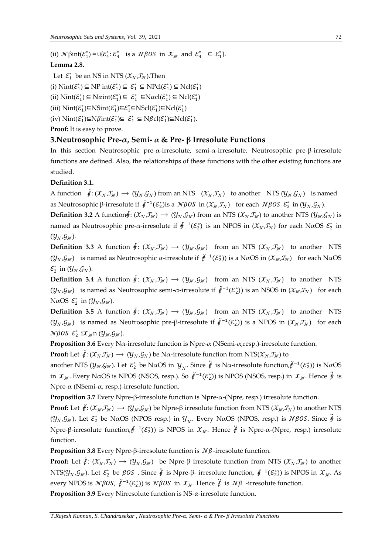(ii)  $\mathcal{N}\beta$ int( $\mathcal{E}_1^*$ ) =  $\cup \{\mathcal{E}_4^* : \mathcal{E}_4^* \text{ is a } \mathcal{N}\beta\text{OS in } \mathcal{X}_\mathcal{N} \text{ and } \mathcal{E}_4^* \subseteq \mathcal{E}_1^*\}$ . **Lemma 2.8.**

Let  $\mathcal{E}_1^*$  be an NS in NTS  $(\mathcal{X}_\mathcal{N}, \mathcal{J}_\mathcal{N})$ . Then (i)  $\text{Nint}(\mathcal{E}_1^*) \subseteq \text{NP}\text{int}(\mathcal{E}_1^*) \subseteq \mathcal{E}_1^* \subseteq \text{NPcl}(\mathcal{E}_1^*) \subseteq \text{Ncl}(\mathcal{E}_1^*)$ (ii)  $\text{Nint}(\mathcal{E}_1^*) \subseteq \text{Naint}(\mathcal{E}_1^*) \subseteq \mathcal{E}_1^* \subseteq \text{Nacl}(\mathcal{E}_1^*) \subseteq \text{Ncl}(\mathcal{E}_1^*)$ (iii)  $\text{Nint}(\mathcal{E}_1^*) \subseteq \text{NSint}(\mathcal{E}_1^*) \subseteq \mathcal{E}_1^* \subseteq \text{NScl}(\mathcal{E}_1^*) \subseteq \text{Ncl}(\mathcal{E}_1^*)$  $(iv) \text{ Nint}(\mathcal{E}_1^*) \subseteq \text{N}\beta \text{int}(\mathcal{E}_1^*) \subseteq \mathcal{E}_1^* \subseteq \text{N}\beta \text{cl}(\mathcal{E}_1^*) \subseteq \text{Ncl}(\mathcal{E}_1^*).$ 

Proof: It is easy to prove.

## **3.Neutrosophic Pre-α, Semi- α & Pre- β Irresolute Functions**

In this section Neutrosophic pre-α-irresolute, semi-α-irresolute, Neutrosophic pre-β-irresolute functions are defined. Also, the relationships of these functions with the other existing functions are studied.

**Definition 3.1.**

A function  $\ddot{\mathbf{\mathit{f}}}$ :  $(\mathcal{X}_N, \mathcal{I}_N) \rightarrow (\mathcal{Y}_N, \mathcal{G}_N)$  from an NTS  $(\mathcal{X}_N, \mathcal{I}_N)$  to another NTS  $(\mathcal{Y}_N, \mathcal{G}_N)$  is named as Neutrosophic β-irresolute if  $\ddot{f}^{-1}({\cal E}_{2}^{*})$ is a  $\cal{N}\beta OS$  in  $(\cal{X}_N,\cal{I}_N)$  for each  $\cal{N}\beta OS$   ${\cal E}_2^{*}$  in  $(\cal{Y}_N,\cal{G}_N)$ .

**Definition 3.2** A function  $\ddot{\theta}$ :  $(\mathcal{X}_N, \mathcal{T}_N) \to (\mathcal{Y}_N, \mathcal{G}_N)$  from an NTS  $(\mathcal{X}_N, \mathcal{T}_N)$  to another NTS  $(\mathcal{Y}_N, \mathcal{G}_N)$  is named as Neutrosophic pre- $\alpha$ -irresolute if  $\ddot{f}^{-1}(\mathcal{E}^*_2)$  is an NPOS in  $(\mathcal{X}_N,\mathcal{I}_N)$  for each N $\alpha$ OS  $\mathcal{E}^*_2$  in  $(y_{N},g_{N}).$ 

**Definition 3.3** A function  $\ddot{\mathbf{f}}$ :  $(\mathcal{X}_N, \mathcal{I}_N) \to (\mathcal{Y}_N, \mathcal{G}_N)$  from an NTS  $(\mathcal{X}_N, \mathcal{I}_N)$  to another NTS ( $y_x, G_y$ ) is named as Neutrosophic α-irresolute if  $\ddot{f}^{-1}(\mathcal{E}^*_2)$ ) is a NαOS in ( $\mathcal{X}_x, \mathcal{I}_y$ ) for each NαOS  $\mathcal{E}_2^*$  in  $(y_{\mathcal{N}}, g_{\mathcal{N}})$ .

**Definition 3.4** A function  $\ddot{\mathbf{f}}$ :  $(\mathcal{X}_N, \mathcal{I}_N) \to (\mathcal{Y}_N, \mathcal{G}_N)$  from an NTS  $(\mathcal{X}_N, \mathcal{I}_N)$  to another NTS  $(y_x, \mathcal{G}_x)$  is named as Neutrosophic semi- $\alpha$ -irresolute if  $\ddot{f}^{-1}(\mathcal{E}_2^*)$ ) is an NSOS in  $(\mathcal{X}_x, \mathcal{I}_x)$  for each NaOS  $\varepsilon_2^*$  in  $(y_N, \mathcal{G}_N)$ .

**Definition 3.5** A function  $\ddot{\mathbf{f}}$ :  $(\mathcal{X}_N, \mathcal{I}_N) \to (\mathcal{Y}_N, \mathcal{G}_N)$  from an NTS  $(\mathcal{X}_N, \mathcal{I}_N)$  to another NTS  $(y<sub>N</sub>, G<sub>N</sub>)$  is named as Neutrosophic pre-β-irresolute if  $\ddot{t}^{-1}(\mathcal{E}^*_2)$ ) is a NPOS in  $(\mathcal{X}_N, \mathcal{I}_N)$  for each  $N\beta$ OS  $\varepsilon_2^*$  i $\mathcal{X}_N$ n $(\mathcal{Y}_N, \mathcal{G}_N)$ .

**Proposition 3.6** Every Nα-irresolute function is Npre-α (NSemi-α,resp.)-irresolute function.

**Proof:** Let  $\ddot{\mathbf{\#}}: (\mathcal{X}_N, \mathcal{I}_N) \to (\mathcal{Y}_N, \mathcal{G}_N)$  be Na-irresolute function from NTS( $\mathcal{X}_N, \mathcal{I}_N$ ) to

another NTS ( $y_N$ , $\mathcal{G}_N$ ). Let  $\mathcal{E}_2^*$  be NaOS in  $y_N$ . Since  $\ddot{r}$  is Na-irresolute function, $\ddot{r}^{-1}(\mathcal{E}_2^*)$ ) is NaOS in  $\mathcal{X}_\mathcal{N}$ . Every NaOS is NPOS (NSOS, resp.). So  $\ddot{f}^{-1}(\mathcal{E}_2^*)$ ) is NPOS (NSOS, resp.) in  $\mathcal{X}_\mathcal{N}$ . Hence  $\ddot{f}$  is Npre-α (NSemi-α, resp.)-irresolute function.

**Proposition 3.7** Every Npre-β-irresolute function is Npre-α-(Npre, resp.) irresolute function.

**Proof:** Let  $\ddot{\mathbf{\mathit{f}}}$ :  $(\mathcal{X}_N, \mathcal{I}_N) \rightarrow (\mathcal{Y}_N, \mathcal{G}_N)$  be Npre- $\beta$  irresolute function from NTS  $(\mathcal{X}_N, \mathcal{I}_N)$  to another NTS  $(y_N, \mathcal{G}_N)$ . Let  $\mathcal{E}_2^*$  be NaOS (NPOS resp.) in  $y_N$ . Every NaOS (NPOS, resp.) is  $\mathcal{N}\beta$ 0S. Since  $\ddot{\vec{\theta}}$  is Npre-β-irresolute function, $\ddot{f}^{-1}({\cal E}_{2}^{*})$ ) is NPOS in  $\mathcal{X}_{\mathcal{N}}$ . Hence  $\ddot{f}$  is Npre-α-(Npre, resp.) irresolute function.

**Proposition 3.8** Every Npre-β-irresolute function is  $N\beta$ -irresolute function.

**Proof:** Let  $\ddot{\theta}$ :  $(\mathcal{X}_N, \mathcal{T}_N) \rightarrow (\mathcal{Y}_N, \mathcal{G}_N)$  be Npre- $\beta$  irresolute function from NTS  $(\mathcal{X}_N, \mathcal{T}_N)$  to another NTS( $y_N, \mathcal{G}_N$ ). Let  $\mathcal{E}_2^*$  be  $\beta S$  . Since  $\ddot{\theta}$  is Npre- $\beta$ - irresolute function,  $\ddot{\theta}^{-1}(\mathcal{E}_2^*)$ ) is NPOS in  $\mathcal{X}_N$ . As every NPOS is  $N\beta OS$ ,  $\ddot{\delta}^{-1}(\mathcal{E}^*_2)$ ) is  $N\beta OS$  in  $\mathcal{X}_\mathcal{N}.$  Hence  $\ddot{\ddot{\delta}}$  is  $N\beta$  -irresolute function.

**Proposition 3.9** Every Nirresolute function is  $NS-\alpha$ -irresolute function.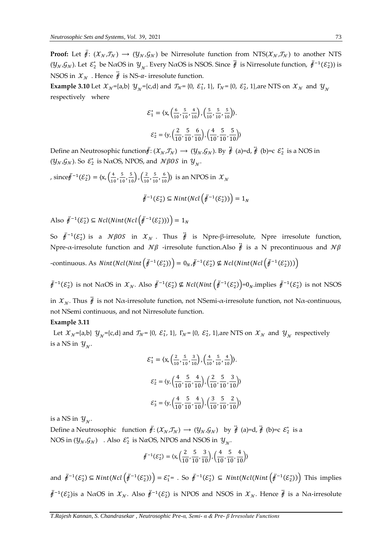**Proof:** Let  $\ddot{\theta}$ :  $(\mathcal{X}_N, \mathcal{T}_N) \rightarrow (\mathcal{Y}_N, \mathcal{G}_N)$  be Nirresolute function from NTS( $\mathcal{X}_N, \mathcal{T}_N$ ) to another NTS ( $y_N, G_N$ ). Let  $\mathcal{E}_2^*$  be NαOS in  $y_N$ . Every NαOS is NSOS. Since  $\ddot{t}$  is Nirresolute function,  $\ddot{t}^{-1}(\mathcal{E}_2^*)$ ) is NSOS in  $\mathcal{X}_N$ . Hence  $\ddot{\hat{\theta}}$  is NS- $\alpha$ - irresolute function.

**Example 3.10** Let  $\mathcal{X}_N$ ={a,b}  $\mathcal{Y}_N$ ={c,d} and  $\mathcal{T}_N$ = {0,  $\mathcal{E}_1^*$ , 1},  $\Gamma_N$ = {0,  $\mathcal{E}_2^*$ , 1}, are NTS on  $\mathcal{X}_N$  and  $\mathcal{Y}_N$ respectively where

$$
\mathcal{E}_1^* = \langle \mathbf{x}, \left( \frac{6}{10}, \frac{5}{10}, \frac{4}{10} \right), \left( \frac{5}{10}, \frac{5}{10}, \frac{5}{10} \right) \rangle.
$$

$$
\mathcal{E}_2^* = \langle \mathbf{y}, \left( \frac{2}{10}, \frac{5}{10}, \frac{6}{10} \right), \left( \frac{4}{10}, \frac{5}{10}, \frac{5}{10} \right) \rangle
$$

Define an Neutrosophic function $\ddot{r}: (\mathcal{X}_N, \mathcal{I}_N) \to (\mathcal{Y}_N, \mathcal{G}_N)$ . By  $\ddot{r}$  (a)=d,  $\ddot{r}$  (b)=c  $\mathcal{E}_2^*$  is a NOS in  $(y_{\mathcal{N}}, \mathcal{G}_{\mathcal{N}})$ . So  $\mathcal{E}_2^*$  is N $\alpha$ OS, NPOS, and  $\mathcal{N}\beta$ OS in  $y_{\mathcal{N}}$ .

, since  $\ddot{\ell}^{-1}(\mathcal{E}_2^*) = \langle x, \left(\frac{4}{10}\right) \rangle$  $\frac{4}{10}$ ,  $\frac{5}{10}$  $\frac{5}{10}, \frac{5}{10}$ ,  $\left(\frac{2}{10}\right)$  $\frac{2}{10}$ ,  $\frac{5}{10}$  $\left(\frac{5}{10}, \frac{6}{10}\right)$  is an NPOS in  $\mathcal{X}_{\mathcal{N}}$ 

$$
\ddot{\mathcal{F}}^{-1}(\mathcal{E}_2^*) \subseteq Nint(Ncl\left(\ddot{\mathcal{F}}^{-1}(\mathcal{E}_2^*))\right) = 1_N
$$

Also  $\ddot{f}^{-1}(\mathcal{E}_2^*) \subseteq Ncl(Nint(Ncl(\ddot{f}^{-1}(\mathcal{E}_2^*)))) = 1_N$ 

So  $\ddot{f}^{-1}(\mathcal{E}_2^*)$  is a  $N\beta OS$  in  $\mathcal{X}_N$ . Thus  $\ddot{f}$  is Npre- $\beta$ -irresolute, Npre irresolute function, Npre- $\alpha$ -irresolute function and  $N\beta$  -irresolute function.Also  $\ddot{\phi}$  is a N precontinuous and  $N\beta$ -continuous. As  $Nint(Ncl(Nint\left(\ddot{f}^{-1}(\mathcal{E}^*_2)\right)\right) = 0_N \dot{f}^{-1}(\mathcal{E}^*_2) \nsubseteq Ncl(Nint(Ncl\left(\ddot{f}^{-1}(\mathcal{E}^*_2)\right))$ 

 $\ddot{\theta}^{-1}(\mathcal{E}_2^*)$  is not NαOS in  $\mathcal{X}_\mathcal{N}$ . Also  $\ddot{\theta}^{-1}(\mathcal{E}_2^*)$  ⊈ Ncl(Nint  $(\ddot{\theta}^{-1}(\mathcal{E}_2^*)=0_N$ .implies  $\ddot{\theta}^{-1}(\mathcal{E}_2^*)$  is not NSOS

in  $\mathcal{X}_{\mathcal{N}}$ . Thus  $\ddot{\mathcal{Y}}$  is not N $\alpha$ -irresolute function, not not not N $\alpha$ -continuous, not NSemi continuous, and not Nirresolute function.

## **Example 3.11**

Let  $x_N$ ={a,b}  $y_N$ ={c,d} and  $\tau_N$ = {0,  $\varepsilon_1^*$ , 1},  $\Gamma_N$ = {0,  $\varepsilon_2^*$ , 1}, are NTS on  $x_N$  and  $y_N$  respectively is a NS in  $y_{\scriptscriptstyle 0}^{\scriptscriptstyle -}$ .

$$
\mathcal{E}_1^* = \langle \mathbf{x}, \left( \frac{2}{10}, \frac{5}{10}, \frac{3}{10} \right), \left( \frac{4}{10}, \frac{5}{10}, \frac{4}{10} \right) \rangle.
$$

$$
\mathcal{E}_2^* = \langle \mathbf{y}, \left( \frac{4}{10}, \frac{5}{10}, \frac{4}{10} \right), \left( \frac{2}{10}, \frac{5}{10}, \frac{3}{10} \right) \rangle
$$

$$
\mathcal{E}_3^* = \langle \mathbf{y}, \left( \frac{4}{10}, \frac{5}{10}, \frac{4}{10} \right), \left( \frac{3}{10}, \frac{5}{10}, \frac{2}{10} \right) \rangle
$$

is a NS in  $\mathcal{Y}_{\mathcal{N}}$ .

Define a Neutrosophic function  $\ddot{f}$ :  $(\mathcal{X}_\mathcal{N}, \mathcal{I}_\mathcal{N}) \to (\mathcal{Y}_\mathcal{N}, \mathcal{G}_\mathcal{N})$  by  $\ddot{f}$  (a)=d,  $\ddot{f}$  (b)=c  $\mathcal{E}_2^*$  is a NOS in  $(y_N, G_N)$ . Also  $\varepsilon_2^*$  is N $\alpha$ OS, NPOS and NSOS in  $y_N$ .

$$
\ddot{f}^{-1}(\mathcal{E}_2^*) = \langle x, \left(\frac{2}{10}, \frac{5}{10}, \frac{3}{10}\right), \left(\frac{4}{10}, \frac{5}{10}, \frac{4}{10}\right) \rangle
$$

and  $\ddot{\theta}^{-1}(\mathcal{E}_2^*) \subseteq Nint(Ncl(\ddot{\theta}^{-1}(\mathcal{E}_2^*)) = \mathcal{E}_1^* = .$  So  $\ddot{\theta}^{-1}(\mathcal{E}_2^*) \subseteq Nint(Ncl(Nint(\ddot{\theta}^{-1}(\mathcal{E}_2^*))$  This implies  $\ddot{f}^{-1}(\mathcal{E}_2^*)$ is a N $\alpha$ OS in  $\mathcal{X}_\mathcal{N}$ . Also  $\ddot{f}^{-1}(\mathcal{E}_2^*)$  is NPOS and NSOS in  $\mathcal{X}_\mathcal{N}$ . Hence  $\ddot{f}$  is a N $\alpha$ -irresolute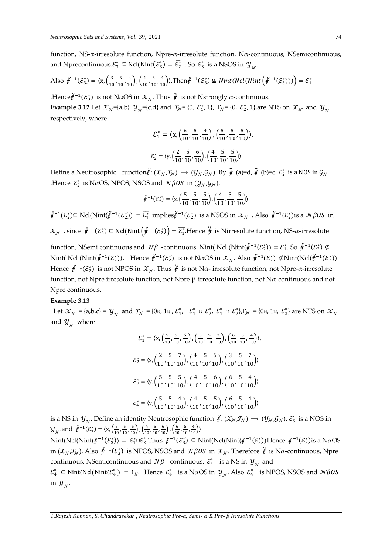function, NS-α-irresolute function, Npre-α-irresolute function, Nα-continuous, NSemicontinuous, and Nprecontinuous. $\mathcal{E}_3^* \subseteq \text{Ncl}(\text{Nint}(\mathcal{E}_3^*) = \overline{\mathcal{E}_2^*}$ . So  $\mathcal{E}_3^*$  is a NSOS in  $\mathcal{Y}_{\gamma}$ .

Also 
$$
\ddot{\theta}^{-1}(\mathcal{E}_3^*) = \langle x, \left(\frac{3}{10}, \frac{5}{10}, \frac{2}{10}\right), \left(\frac{4}{10}, \frac{5}{10}, \frac{4}{10}\right)\rangle
$$
. Then  $\ddot{\theta}^{-1}(\mathcal{E}_3^*) \nsubseteq Nint(Ncl(Nint(\dot{\theta}^{-1}(\mathcal{E}_3^*))) ) = \mathcal{E}_1^*$ 

.Hence $\ddot{\ell}^{-1}({\cal E}_3^*)$  is not NαOS in  ${\cal X}_{\cal N}$ . Thus  $\ddot{\ell}$  is not Nstrongly α-continuous. **Example 3.12** Let  $\mathcal{X}_N$ ={a,b}  $\mathcal{Y}_N$ ={c,d} and  $\mathcal{T}_N$ = {0,  $\mathcal{E}_1^*$ , 1},  $\Gamma_N$ = {0,  $\mathcal{E}_2^*$ , 1}, are NTS on  $\mathcal{X}_N$  and  $\mathcal{Y}_N$ respectively, where

$$
\mathcal{E}_1^* = \langle \mathbf{x}, \left( \frac{6}{10}, \frac{5}{10}, \frac{4}{10} \right), \left( \frac{5}{10}, \frac{5}{10}, \frac{5}{10} \right) \rangle.
$$

$$
\mathcal{E}_2^* = \langle \mathbf{y}, \left( \frac{2}{10}, \frac{5}{10}, \frac{6}{10} \right), \left( \frac{4}{10}, \frac{5}{10}, \frac{5}{10} \right) \rangle
$$

Define a Neutrosophic  $\phi: (\mathcal{X}_\mathcal{N}, \mathcal{J}_\mathcal{N}) \to (\mathcal{Y}_\mathcal{N}, \mathcal{G}_\mathcal{N})$ . By  $\ddot{f}$  (a)=d,  $\ddot{f}$  (b)=c.  $\mathcal{E}_2^*$  is a NOS in  $\mathcal{G}_\mathcal{N}$ .Hence  $\mathcal{E}_2^*$  is N $\alpha$ OS, NPOS, NSOS and  $\mathcal{N}\beta$ OS in  $(\mathcal{Y}_N,\mathcal{G}_N)$ .

$$
\ddot{p}^{-1}(\mathcal{E}_2^*) = \langle \mathbf{x}, \left(\frac{5}{10}, \frac{5}{10}, \frac{5}{10}\right), \left(\frac{4}{10}, \frac{5}{10}, \frac{5}{10}\right) \rangle
$$

 $\ddot{\theta}^{-1}(\mathcal{E}_2^*)$ ⊆ Ncl(Nint( $\ddot{\theta}^{-1}(\mathcal{E}_2^*)$ ) =  $\overline{\mathcal{E}_1^*}$  implies $\ddot{\theta}^{-1}(\mathcal{E}_2^*)$  is a NSOS in  $\mathcal{X}_\mathcal{N}$  . Also  $\ddot{\theta}^{-1}(\mathcal{E}_2^*)$ is a  $\mathcal{N}\beta$ OS in  $\mathcal{X}_N$ , since  $\ddot{\mathcal{F}}^{-1}(\mathcal{E}_2^*)$  ⊆ Ncl(Nint $(\ddot{\mathcal{F}}^{-1}(\mathcal{E}_2^*)) = \overline{\mathcal{E}_1^*}$ . Hence  $\ddot{\mathcal{F}}$  is Nirresolute function, NS-α-irresolute

function, NSemi continuous and  $\mathcal{N}\beta$  -continuous. Nint( Ncl (Nint( $\ddot{f}^{-1}(\mathcal{E}_2^*) = \mathcal{E}_1^*$ . So  $\ddot{f}^{-1}(\mathcal{E}_2^*) \nsubseteq$ Nint(Ncl (Nint(<del> $\ddot{\theta}^{-1}(\mathcal{E}_2^*)$ </del>). Hence  $\ddot{\theta}^{-1}(\mathcal{E}_2^*)$  is not NαOS in  $\mathcal{X_N}$ . Also  $\ddot{\theta}^{-1}(\mathcal{E}_2^*)$  ⊈Nint(Ncl( $\ddot{\theta}^{-1}(\mathcal{E}_2^*)$ ). Hence  $\ddot{f}^{-1}(\mathcal{E}_2^*)$  is not NPOS in  $\mathcal{X}_\mathcal{N}$ . Thus  $\ddot{f}$  is not N $\alpha$ - irresolute function, not Npre- $\alpha$ -irresolute function, not Npre irresolute function, not Npre-β-irresolute function, not Nα-continuous and not Npre continuous.

## **Example 3.13**

Let  $\mathcal{X}_{\mathcal{N}} = \{a,b,c\} = \mathcal{Y}_{\mathcal{N}}$  and  $\mathcal{T}_{\mathcal{N}} = \{0\}_1$ ,  $1\}_1$ ,  $\mathcal{E}_1^*$ ,  $\mathcal{E}_1^*$   $\cup$   $\mathcal{E}_2^*$ ,  $\mathcal{E}_1^*$   $\cap$   $\mathcal{E}_2^*\}_1$ ,  $\Gamma_{\mathcal{N}} = \{0\}_1$ ,  $1\}_1$ ,  $\mathcal{E}_3^*\}$  are NTS on  $\mathcal{X}_{\mathcal{N}}$ and  $y_{\alpha}$  where

$$
\mathcal{E}_{1}^{*} = \langle x, \left(\frac{5}{10}, \frac{5}{10}, \frac{5}{10}\right), \left(\frac{3}{10}, \frac{5}{10}, \frac{7}{10}\right), \left(\frac{6}{10}, \frac{5}{10}, \frac{4}{10}\right) \rangle
$$
\n
$$
\mathcal{E}_{2}^{*} = \langle x, \left(\frac{2}{10}, \frac{5}{10}, \frac{7}{10}\right), \left(\frac{4}{10}, \frac{5}{10}, \frac{6}{10}\right), \left(\frac{3}{10}, \frac{5}{10}, \frac{7}{10}\right) \rangle
$$
\n
$$
\mathcal{E}_{3}^{*} = \langle y, \left(\frac{5}{10}, \frac{5}{10}, \frac{5}{10}\right), \left(\frac{4}{10}, \frac{5}{10}, \frac{6}{10}\right), \left(\frac{6}{10}, \frac{5}{10}, \frac{4}{10}\right) \rangle
$$
\n
$$
\mathcal{E}_{4}^{*} = \langle y, \left(\frac{5}{10}, \frac{5}{10}, \frac{4}{10}\right), \left(\frac{4}{10}, \frac{5}{10}, \frac{5}{10}\right), \left(\frac{6}{10}, \frac{5}{10}, \frac{4}{10}\right) \rangle
$$

is a NS in  $y_{N}$ . Define an identity Neutrosophic function  $\ddot{f}$ :  $(\mathcal{X}_{N},\mathcal{J}_{N})\to (\mathcal{Y}_{N},\mathcal{G}_{N})$ .  $\mathcal{E}_{3}^{*}$  is a NOS in  $\mathcal{Y}_{\mathcal{N}}$  and  $\ddot{\mathit{f}}^{-1}(\mathcal{E}_3^*) = \langle x, \left(\frac{5}{10}\right) \rangle$  $\frac{5}{10}$ ,  $\frac{5}{10}$  $\frac{5}{10}, \frac{5}{10}$ ,  $\left(\frac{4}{10}\right)$  $\frac{4}{10}$ ,  $\frac{5}{10}$  $\frac{5}{10}, \frac{6}{10}$ ,  $\left(\frac{6}{10}\right)$  $\frac{6}{10}$ ,  $\frac{5}{10}$  $\frac{5}{10}, \frac{4}{10}$ )

Nint(Ncl(Nint( $\ddot{\theta}^{-1}(\mathcal{E}_3^*)$ ) =  $\mathcal{E}_1^* \cup \mathcal{E}_2^*$ . Thus  $\ddot{\theta}^{-1}(\mathcal{E}_3^*)$ . ⊆ Nint(Ncl(Nint( $\ddot{\theta}^{-1}(\mathcal{E}_3^*)$ )Hence  $\ddot{\theta}^{-1}(\mathcal{E}_3^*)$ is a NαOS in  $(\mathcal{X}_N,\mathcal{I}_N)$ . Also  $\ddot{r}^{-1}(\mathcal{E}_3^*)$  is NPOS, NSOS and  $\mathcal{N}\beta OS$  in  $\mathcal{X}_N$ . Therefore  $\ddot{r}$  is N $\alpha$ -continuous, Npre continuous, NSemicontinuous and  $\mathcal{N}\beta$  -continuous.  $\mathcal{E}_4^*$  is a NS in  $\mathcal{Y}_\mathcal{N}$  and

 $\varepsilon_4^* \subseteq \text{Nint}(\text{Nelt}(\mathcal{E}_4^*) = 1_N$ . Hence  $\varepsilon_4^*$  is a NaOS in  $\mathcal{Y}_N$ . Also  $\varepsilon_4^*$  is NPOS, NSOS and  $\mathcal{N}\betaOS$ in  $y_{\scriptscriptstyle N}^{\scriptscriptstyle -}$ .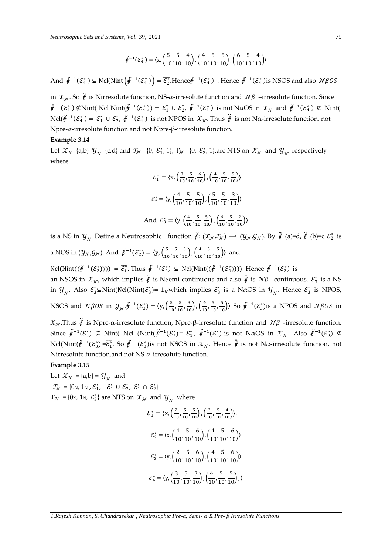$$
\ddot{f}^{-1}(\mathcal{E}_4^*) = \langle x, \left(\frac{5}{10}, \frac{5}{10}, \frac{4}{10}\right), \left(\frac{4}{10}, \frac{5}{10}, \frac{5}{10}\right), \left(\frac{6}{10}, \frac{5}{10}, \frac{4}{10}\right) \rangle
$$

And  $\ddot{f}^{-1}(\mathcal{E}_4^*)$   $\subseteq$  Ncl(Nint $(\ddot{f}^{-1}(\mathcal{E}_4^*)) = \overline{\mathcal{E}_2^*}$ .Hence $\ddot{f}^{-1}(\mathcal{E}_4^*)$  . Hence  $\ddot{f}^{-1}(\mathcal{E}_4^*)$  is NSOS and also  $N\beta OS$ 

in  $\mathcal{X}_N$ . So  $\ddot{\theta}$  is Nirresolute function, NS- $\alpha$ -irresolute function and  $\mathcal{N}\beta$  -irresolute function. Since  $\ddot{\theta}^{-1}(\mathcal{E}_4^*) \not\subseteq \text{Nint}(\text{Ncl Nint}(\ddot{\theta}^{-1}(\mathcal{E}_4^*)) = \mathcal{E}_1^* \cup \mathcal{E}_2^*, \ \ddot{\theta}^{-1}(\mathcal{E}_4^*) \text{ is not NaOS in } \mathcal{X}_\mathcal{N} \text{ and } \ddot{\theta}^{-1}(\mathcal{E}_4^*) \not\subseteq \text{Nint}(\mathcal{E}_4^*)$ Ncl( $\ddot{\theta}^{-1}(\mathcal{E}_4^*) = \mathcal{E}_1^* \cup \mathcal{E}_2^*, \ \ddot{\theta}^{-1}(\mathcal{E}_4^*)$  is not NPOS in  $\mathcal{X}_N$ . Thus  $\ddot{\theta}$  is not Nα-irresolute function, not Npre-α-irresolute function and not Npre-β-irresolute function.

#### **Example 3.14**

Let  $x_N$ ={a,b}  $y_N$ ={c,d} and  $\tau_N$ = {0,  $\varepsilon_1^*$ , 1},  $\Gamma_N$ = {0,  $\varepsilon_2^*$ , 1}, are NTS on  $x_N$  and  $y_N$  respectively where

$$
\mathcal{E}_1^* = \langle \mathbf{x}, \left( \frac{3}{10}, \frac{5}{10}, \frac{6}{10} \right), \left( \frac{4}{10}, \frac{5}{10}, \frac{5}{10} \right) \rangle
$$
  

$$
\mathcal{E}_2^* = \langle \mathbf{y}, \left( \frac{4}{10}, \frac{5}{10}, \frac{5}{10} \right), \left( \frac{5}{10}, \frac{5}{10}, \frac{3}{10} \right) \rangle
$$
  
And 
$$
\mathcal{E}_3^* = \langle \mathbf{y}, \left( \frac{4}{10}, \frac{5}{10}, \frac{5}{10} \right), \left( \frac{6}{10}, \frac{5}{10}, \frac{2}{10} \right) \rangle
$$

is a NS in  $y_{N}$  Define a Neutrosophic function  $\ddot{r}: (\mathcal{X}_{N}, \mathcal{J}_{N}) \to (\mathcal{Y}_{N}, \mathcal{G}_{N})$ . By  $\ddot{r}$  (a)=d,  $\ddot{r}$  (b)=c  $\mathcal{E}_{2}^{*}$  is a NOS in  $(y_N, \mathcal{G}_N)$ . And  $\ddot{\mathcal{F}}^{-1}(\mathcal{E}_2^*) = \langle y, \left(\frac{5}{10}\right)^2 \rangle$  $\frac{5}{10}$ ,  $\frac{5}{10}$  $\frac{5}{10}, \frac{3}{10}$ ,  $\left(\frac{4}{10}\right)$  $\frac{4}{10}$ ,  $\frac{5}{10}$  $\frac{5}{10}, \frac{5}{10}$ ) and

 $Ncl(Nint((\ddot{f}^{-1}(\mathcal{E}_2^*)))) = \overline{\mathcal{E}_1^*}$ . Thus  $\ddot{f}^{-1}(\mathcal{E}_2^*) \subseteq Ncl(Nint((\ddot{f}^{-1}(\mathcal{E}_2^*))))$ . Hence  $\ddot{f}^{-1}(\mathcal{E}_2^*)$  is an NSOS in  $\mathcal{X}_N$ , which implies  $\ddot{\vec{r}}$  is NSemi continuous and also  $\ddot{\vec{r}}$  is  $\mathcal{N}\beta$  -continuous.  $\mathcal{E}_3^*$  is a NS in  $\mathcal{Y}_{\gamma}$ . Also  $\mathcal{E}_3^*$   $\subseteq$  Nint(Ncl(Nint( $\mathcal{E}_3^*$ ) = 1<sub>N</sub> which implies  $\mathcal{E}_3^*$  is a N $\alpha$ OS in  $\mathcal{Y}_{\gamma}$ . Hence  $\mathcal{E}_3^*$  is NPOS, NSOS and  $\mathcal{N}\beta$ OS in  $\mathcal{Y}_{\mathcal{N}}\cdot\ddot{\mathcal{F}}^{-1}(\mathcal{E}_3^*) = \langle y, \left(\frac{5}{10}\right) \rangle$  $\frac{5}{10}$ ,  $\frac{5}{10}$  $\frac{5}{10}, \frac{3}{10}$ ,  $\left(\frac{4}{10}\right)$  $\frac{4}{10}$ ,  $\frac{5}{10}$  $\frac{5}{10}, \frac{5}{10}$ ) So  $\ddot{\mathcal{F}}^{-1}(\mathcal{E}_3^*)$  is a NPOS and  $\mathcal{N}\beta\mathcal{O}S$  in

 $\mathcal{X}_N$ .Thus  $\ddot{\theta}$  is Npre- $\alpha$ -irresolute function, Npre- $\beta$ -irresolute function and  $\mathcal{N}\beta$  -irresolute function. Since  $\ddot{f}^{-1}(\mathcal{E}_3^*)$   $\notin$  Nint( Ncl (Nint( $\ddot{f}^{-1}(\mathcal{E}_3^*)$ =  $\mathcal{E}_1^*,$   $\ddot{f}^{-1}(\mathcal{E}_3^*)$  is not NaOS in  $\mathcal{X}_\mathcal{N}$ . Also  $\ddot{f}^{-1}(\mathcal{E}_3^*)$   $\notin$ Ncl(Nint( $\ddot{\theta}^{-1}(\mathcal{E}_3^*)$ = $\overline{\mathcal{E}_1^*}$ . So  $\ddot{\theta}^{-1}(\mathcal{E}_3^*)$ is not NSOS in  $\mathcal{X}_\mathcal{N}$ . Hence  $\ddot{\theta}$  is not Na-irresolute function, not Nirresolute function, and not  $NS-\alpha$ -irresolute function.

#### **Example 3.15**

Let  $\mathcal{X}_{\mathcal{N}} = \{a,b\} = \mathcal{Y}_{\mathcal{N}}$  and  $\mathcal{T}_{\mathcal{N}} = \{0 \,, 1 \,\text{s}, \, \mathcal{E}_1^*, \, \mathcal{E}_1^* \cup \mathcal{E}_2^*, \, \mathcal{E}_1^* \cap \mathcal{E}_2^* \}$ , Γ<sub>N</sub> = {0<sub>N</sub>, 1<sub>N</sub>,  $\mathcal{E}_3^*$ } are NTS on  $\mathcal{X}_N$  and  $\mathcal{Y}_N$  where

$$
\mathcal{E}_{1}^{*} = \langle \mathbf{x}, \left( \frac{2}{10}, \frac{5}{10}, \frac{5}{10} \right), \left( \frac{2}{10}, \frac{5}{10}, \frac{4}{10} \right) \rangle.
$$

$$
\mathcal{E}_{2}^{*} = \langle \mathbf{x}, \left( \frac{4}{10}, \frac{5}{10}, \frac{6}{10} \right), \left( \frac{4}{10}, \frac{5}{10}, \frac{6}{10} \right) \rangle
$$

$$
\mathcal{E}_{3}^{*} = \langle \mathbf{y}, \left( \frac{2}{10}, \frac{5}{10}, \frac{6}{10} \right), \left( \frac{4}{10}, \frac{5}{10}, \frac{6}{10} \right) \rangle
$$

$$
\mathcal{E}_{4}^{*} = \langle \mathbf{y}, \left( \frac{3}{10}, \frac{5}{10}, \frac{3}{10} \right), \left( \frac{4}{10}, \frac{5}{10}, \frac{5}{10} \right), \left( \frac{5}{10}, \frac{5}{10} \right) \rangle
$$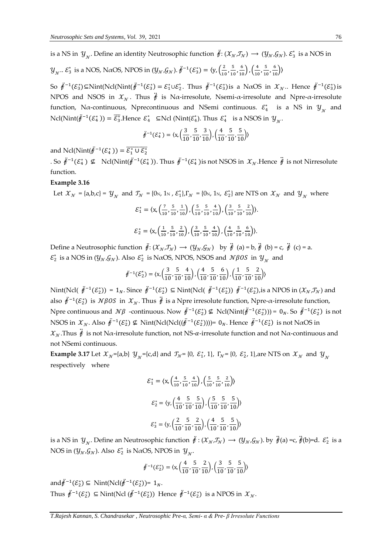is a NS in  $y_{y}$ . Define an identity Neutrosophic function  $\ddot{f}$ :  $(\mathcal{X}_y, \mathcal{I}_y) \to (\mathcal{Y}_y, \mathcal{G}_y)$ .  $\mathcal{E}^*_3$  is a NOS in

$$
\mathcal{Y}_{\mathcal{N}}\dots \mathcal{E}_3^*
$$
 is a NOS, NaOS, NPOS in  $(\mathcal{Y}_{\mathcal{N}}, \mathcal{G}_{\mathcal{N}})$ .  $\ddot{\mathcal{F}}^{-1}(\mathcal{E}_3^*) = \langle y, \left(\frac{2}{10}, \frac{5}{10}, \frac{6}{10}\right), \left(\frac{4}{10}, \frac{5}{10}, \frac{6}{10}\right) \rangle$ 

So  $\ddot{\tilde{r}}^{-1}(\mathcal{E}_3^*)$ ⊆Nint(Ncl(Nint( $\ddot{\tilde{r}}^{-1}(\mathcal{E}_3^*) = \mathcal{E}_1^* \cup \mathcal{E}_2^*$ . Thus  $\ddot{\tilde{r}}^{-1}(\mathcal{E}_3^*)$ is a N $\alpha$ OS in  $\mathcal{X}_\mathcal{N}$ .. Hence  $\ddot{\tilde{r}}^{-1}(\mathcal{E}_3^*)$ is NPOS and NSOS in  $\mathcal{X}_N$ . Thus  $\ddot{\hat{f}}$  is N $\alpha$ -irresolute, Nsemi- $\alpha$ -irresolute and Npre- $\alpha$ -irresolute function, N $\alpha$ -continuous, Nprecontinuous and NSemi continuous.  $\varepsilon_4^*$  is a NS in  $y_{\gamma}$  and Ncl(Nint( $\ddot{\theta}^{-1}(\mathcal{E}_4^*)$ ) =  $\overline{\mathcal{E}_3^*}$ .Hence  $\mathcal{E}_4^*$  ⊆Ncl (Nint( $\mathcal{E}_4^*$ ). Thus  $\mathcal{E}_4^*$  is a NSOS in  $\mathcal{Y}_{\gamma}$ .

$$
\ddot{f}^{-1}(\mathcal{E}_4^*) = \langle \mathbf{x}, \left(\frac{3}{10}, \frac{5}{10}, \frac{3}{10}\right), \left(\frac{4}{10}, \frac{5}{10}, \frac{5}{10}\right) \rangle
$$

and Ncl(Nint( $\ddot{\check{\theta}}^{-1}(\mathcal{E}_4^*)$ ) =  $\overline{\mathcal{E}_1^* \cup \mathcal{E}_2^*}$ 

. So  $\ddot{\theta}^{-1}(\mathcal{E}_4^*)$  ⊈ Ncl(Nint( $\ddot{\theta}^{-1}(\mathcal{E}_4^*)$ ). Thus  $\ddot{\theta}^{-1}(\mathcal{E}_4^*)$  is not NSOS in  $\mathcal{X}_{\mathcal{N}}$ . Hence  $\ddot{\dot{\theta}}$  is not Nirresolute function.

#### **Example 3.16**

Let  $\mathcal{X}_{\mathcal{N}} = \{a,b,c\} = \mathcal{Y}_{\mathcal{N}}$  and  $\mathcal{I}_{\mathcal{N}} = \{0\}$ ,  $1\}$ ,  $\mathcal{E}_1^*\}$ ,  $\Gamma_{\mathcal{N}} = \{0\}$ ,  $1\}$ ,  $\mathcal{E}_2^*\}$  are NTS on  $\mathcal{X}_{\mathcal{N}}$  and  $\mathcal{Y}_{\mathcal{N}}$  where

$$
\mathcal{E}_1^* = \langle \mathbf{x}, \left( \frac{7}{10}, \frac{5}{10}, \frac{1}{10} \right), \left( \frac{5}{10}, \frac{5}{10}, \frac{4}{10} \right), \left( \frac{3}{10}, \frac{5}{10}, \frac{2}{10} \right) \rangle.
$$
  

$$
\mathcal{E}_2^* = \langle \mathbf{x}, \left( \frac{1}{10}, \frac{5}{10}, \frac{2}{10} \right), \left( \frac{3}{10}, \frac{5}{10}, \frac{4}{10} \right), \left( \frac{4}{10}, \frac{5}{10}, \frac{6}{10} \right) \rangle.
$$

Define a Neutrosophic function  $\ddot{\mathbf{f}}: (\mathcal{X}_N, \mathcal{I}_N) \to (\mathcal{Y}_N, \mathcal{G}_N)$  by  $\ddot{\mathbf{f}}$  (a) = b,  $\ddot{\mathbf{f}}$  (b) = c,  $\ddot{\mathbf{f}}$  (c) = a.  $\varepsilon_2^*$  is a NOS in  $(y_N, \mathcal{G}_N)$ . Also  $\varepsilon_2^*$  is N $\alpha$ OS, NPOS, NSOS and  $\mathcal{N}\beta$ OS in  $y_{\gamma}$  and

$$
\ddot{\mathbf{y}}^{-1}(\mathcal{E}_2^*) = \langle \mathbf{x}, \left( \frac{3}{10}, \frac{5}{10}, \frac{4}{10} \right), \left( \frac{4}{10}, \frac{5}{10}, \frac{6}{10} \right), \left( \frac{1}{10}, \frac{5}{10}, \frac{2}{10} \right) \rangle
$$

Nint(Ncl(  $\ddot{t}^{-1}(\mathcal{E}_2^*)$ ) = 1<sub>N</sub>. Since  $\ddot{t}^{-1}(\mathcal{E}_2^*)$  ⊆ Nint(Ncl(  $\ddot{t}^{-1}(\mathcal{E}_2^*)$ )  $\ddot{t}^{-1}(\mathcal{E}_2^*)$ , is a NPOS in  $(\mathcal{X}_N, \mathcal{T}_N)$  and also  $\ddot{\ell}^{-1}(\mathcal{E}_2^*)$  is  $\mathcal{N}\beta OS$  in  $\mathcal{X}_{\mathcal{N}}$ . Thus  $\ddot{\ell}$  is a Npre irresolute function, Npre- $\alpha$ -irresolute function, Npre continuous and  $\mathcal{N}\beta$  -continuous. Now  $\ddot{\mathbf{\ell}}^{-1}(\mathcal{E}_2^*) \nsubseteq \text{Ncl}(\text{Nint}(\ddot{\mathbf{\ell}}^{-1}(\mathcal{E}_2^*))) = 0_N$ . So  $\ddot{\mathbf{\ell}}^{-1}(\mathcal{E}_2^*)$  is not NSOS in  $\mathcal{X}_N$ . Also  $\ddot{\mathcal{F}}^{-1}(\mathcal{E}_2^*) \nsubseteq \text{Nint}(\text{Ncl}((\ddot{\mathcal{F}}^{-1}(\mathcal{E}_2^*))))=0_N$ . Hence  $\ddot{\mathcal{F}}^{-1}(\mathcal{E}_2^*)$  is not NaOS in  $\mathcal{X}_N$ . Thus  $\ddot{\theta}$  is not N $\alpha$ -irresolute function, not NS- $\alpha$ -irresolute function and not N $\alpha$ -continuous and not NSemi continuous.

**Example 3.17** Let  $\mathcal{X}_N$ ={a,b}  $\mathcal{Y}_N$ ={c,d} and  $\mathcal{T}_N$ = {0,  $\mathcal{E}_1^*$ , 1},  $\Gamma_N$ = {0,  $\mathcal{E}_2^*$ , 1}, are NTS on  $\mathcal{X}_N$  and  $\mathcal{Y}_N$ respectively where

$$
\mathcal{E}_1^* = \langle \mathbf{x}, \left( \frac{4}{10}, \frac{5}{10}, \frac{4}{10} \right), \left( \frac{5}{10}, \frac{5}{10}, \frac{2}{10} \right) \rangle
$$
  

$$
\mathcal{E}_2^* = \langle \mathbf{y}, \left( \frac{4}{10}, \frac{5}{10}, \frac{5}{10} \right), \left( \frac{5}{10}, \frac{5}{10}, \frac{5}{10} \right) \rangle
$$
  

$$
\mathcal{E}_3^* = \langle \mathbf{y}, \left( \frac{2}{10}, \frac{5}{10}, \frac{2}{10} \right), \left( \frac{4}{10}, \frac{5}{10}, \frac{5}{10} \right) \rangle
$$

is a NS in  $y_{N}$ . Define an Neutrosophic function  $\ddot{f}:(X_{N},\mathcal{I}_{N})\to(\mathcal{Y}_{N},\mathcal{G}_{N})$ . by  $\ddot{f}(a)$  =c,  $\ddot{f}(b)$ =d.  $\mathcal{E}_{2}^{*}$  is a NOS in  $(y_N, \mathcal{G}_N)$ . Also  $\mathcal{E}_2^*$  is NaOS, NPOS in  $y_N$ .

$$
\ddot{\mathbf{y}}^{-1}(\mathcal{E}_2^*) = \langle \mathbf{x}, \left( \frac{4}{10}, \frac{5}{10}, \frac{2}{10} \right), \left( \frac{3}{10}, \frac{5}{10}, \frac{5}{10} \right) \rangle
$$

and  $\ddot{\ell}^{-1}(\mathcal{E}_2^*)$  ⊆ Nint(Ncl( $\ddot{\ell}^{-1}(\mathcal{E}_2^*)$ )= 1<sub>N</sub>. Thus  $\ddot{\mathbf{\#}}^{-1}(\mathcal{E}_2^*) \subseteq \text{Nint}(\text{Ncl }(\ddot{\mathbf{\#}}^{-1}(\mathcal{E}_2^*))$  Hence  $\ddot{\mathbf{\#}}^{-1}(\mathcal{E}_2^*)$  is a NPOS in  $\mathcal{X}_\mathcal{N}$ .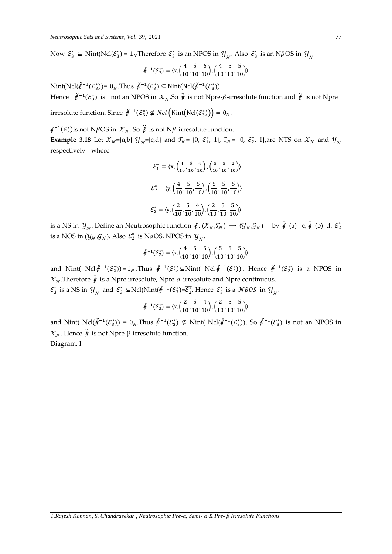Now  $\mathcal{E}_3^* \subseteq \text{Nint}(\text{Ncl}(\mathcal{E}_3^*)=1_N \text{Therefore } \mathcal{E}_3^*$  is an NPOS in  $\mathcal{Y}_{\mathcal{N}}$ . Also  $\mathcal{E}_3^*$  is an N $\beta$ OS in  $\mathcal{Y}_{\mathcal{N}}$ 

$$
\ddot{\mathcal{F}}^{-1}(\mathcal{E}_3^*) = \langle \mathbf{x}, \left( \frac{4}{10}, \frac{5}{10}, \frac{6}{10} \right), \left( \frac{4}{10}, \frac{5}{10}, \frac{5}{10} \right) \rangle
$$

Nint(Ncl( $\ddot{\vec{r}}^{-1}(\mathcal{E}_3^*)$ )= 0<sub>N</sub>.Thus  $\ddot{\vec{r}}^{-1}(\mathcal{E}_3^*)$  ⊆ Nint(Ncl( $\ddot{\vec{r}}^{-1}(\mathcal{E}_3^*)$ ). Hence  $\ddot{f}^{-1}(\mathcal{E}_3^*)$  is not an NPOS in  $\mathcal{X}_\mathcal{N}$ . So  $\ddot{f}$  is not Npre- $\beta$ -irresolute function and  $\ddot{f}$  is not Npre

irresolute function. Since  $\mathring{f}^{-1}(\mathcal{E}_3^*) \nsubseteq Ncl\left(\mathrm{Nint}(\mathrm{Ncl}(\mathcal{E}_3^*))\right) = 0_N.$ 

 $\ddot{\ell}^{-1}(\mathcal{E}_3^*)$ is not N $\beta$ OS in  $\mathcal{X}_\mathcal{N}.$  So  $\ddot{\ell}$  is not N $\beta$ -irresolute function. **Example 3.18** Let  $\mathcal{X}_{\mathcal{N}}$ ={a,b}  $\mathcal{Y}_{\mathcal{N}}$ ={c,d} and  $\mathcal{T}_{\mathcal{N}}$ = {0,  $\mathcal{E}_1^*$ , 1},  $\Gamma_{\mathcal{N}}$ = {0,  $\mathcal{E}_2^*$ , 1},are NTS on  $\mathcal{X}_{\mathcal{N}}$  and  $\mathcal{Y}_{\mathcal{N}}$ respectively where

$$
\mathcal{E}_1^* = \langle x, \left(\frac{4}{10}, \frac{5}{10}, \frac{4}{10}\right), \left(\frac{5}{10}, \frac{5}{10}, \frac{2}{10}\right) \rangle
$$

$$
\mathcal{E}_2^* = \langle y, \left(\frac{4}{10}, \frac{5}{10}, \frac{5}{10}\right), \left(\frac{5}{10}, \frac{5}{10}, \frac{5}{10}\right) \rangle
$$

$$
\mathcal{E}_3^* = \langle y, \left(\frac{2}{10}, \frac{5}{10}, \frac{4}{10}\right), \left(\frac{2}{10}, \frac{5}{10}, \frac{5}{10}\right) \rangle
$$

is a NS in  $y_{N}$ . Define an Neutrosophic function  $\ddot{f}$ :  $(\mathcal{X}_{N},\mathcal{J}_{N}) \to (\mathcal{Y}_{N},\mathcal{G}_{N})$  by  $\ddot{f}$  (a) =c,  $\ddot{f}$  (b)=d.  $\mathcal{E}_{2}^{*}$ is a NOS in  $(y_{\mathcal{N}},\mathcal{G}_{\mathcal{N}})$ . Also  $\mathcal{E}_2^*$  is N $\alpha$ OS, NPOS in  $y_{\mathcal{N}}$ .

$$
\ddot{\mathbf{f}}^{-1}(\mathcal{E}_2^*) = \langle \mathbf{x}, \left( \frac{4}{10}, \frac{5}{10}, \frac{5}{10} \right), \left( \frac{5}{10}, \frac{5}{10}, \frac{5}{10} \right) \rangle
$$

and Nint(  $Ncl \ddot{f}^{-1}(\mathcal{E}_2^*)=1_N$ . Thus  $\ddot{f}^{-1}(\mathcal{E}_2^*)\subseteq Nint(Ncl \ddot{f}^{-1}(\mathcal{E}_2^*))$ . Hence  $\ddot{f}^{-1}(\mathcal{E}_2^*)$  is a NPOS in  $\mathcal{X}_N$ . Therefore  $\ddot{\mathbf{\ell}}$  is a Npre irresolute, Npre- $\alpha$ -irresolute and Npre continuous.

 $\varepsilon_3^*$  is a NS in  $y_{{}_{\mathcal{N}}}$  and  $\varepsilon_3^*$   $\subseteq$ Ncl(Nint( $\ddot{\theta}^{-1}(\varepsilon_3^*) = \overline{\varepsilon_2^*}$ . Hence  $\varepsilon_3^*$  is a  $\mathcal{N}\beta$ OS in  $y_{{}_{\mathcal{N}}}$ .

$$
\ddot{\mathcal{F}}^{-1}(\mathcal{E}_3^*) = \langle x, \left(\frac{2}{10}, \frac{5}{10}, \frac{4}{10}\right), \left(\frac{2}{10}, \frac{5}{10}, \frac{5}{10}\right) \rangle
$$

and Nint(  $Ncl(\ddot{\tilde{\theta}}^{-1}(\mathcal{E}_3^*)) = 0_N$ . Thus  $\ddot{\tilde{\theta}}^{-1}(\mathcal{E}_3^*) \nsubseteq Nint(Ncl(\ddot{\tilde{\theta}}^{-1}(\mathcal{E}_3^*))$ . So  $\ddot{\tilde{\theta}}^{-1}(\mathcal{E}_3^*)$  is not an NPOS in  $\mathcal{X}_N$ . Hence  $\ddot{\mathbf{\ell}}$  is not Npre-β-irresolute function. Diagram: I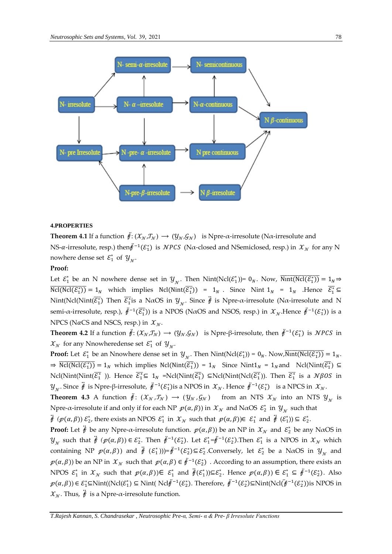

#### **4.PROPERTIES**

**Theorem 4.1** If a function  $\ddot{\mathbf{f}}: (\mathcal{X}_N, \mathcal{I}_N) \to (\mathcal{Y}_N, \mathcal{G}_N)$  is Npre- $\alpha$ -irresolute (N $\alpha$ -irresolute and NS-α-irresolute, resp.) then $\ddot{t}^{-1}(\mathcal{E}_1^*)$  is  $\mathcal{NPCS}$  (Nα-closed and NSemiclosed, resp.) in  $\mathcal{X}_\mathcal{N}$  for any N nowhere dense set  $\mathcal{E}_1^*$  of  $y_{\gamma}$ .

#### **Proof:**

Let  $\mathcal{E}_1^*$  be an N nowhere dense set in  $\mathcal{Y}_{\mathcal{N}}$ . Then  $\text{Nint}(\text{Ncl}(\mathcal{E}_1^*))$  =  $0_N$ . Now,  $\overline{\text{Nint}(\text{Ncl}(\mathcal{E}_1^*))}$  =  $1_N$   $\Rightarrow$  $\overline{Ncl(Ncl(\mathcal{E}_1^*))} = 1_N$  which implies  $Ncl(Nint(\overline{\mathcal{E}_1^*})) = 1_N$ . Since  $Nint 1_N = 1_N$  . Hence  $\overline{\mathcal{E}_1^*} \subseteq$ Nint(Ncl(Nint( $\overline{\mathcal{E}_1^*}$ ) Then  $\overline{\mathcal{E}_1^*}$ is a N $\alpha$ OS in  $\mathcal{Y}_\mathcal{N}.$  Since  $\ddot{\#}$  is Npre- $\alpha$ -irresolute (N $\alpha$ -irresolute and N semi-α-irresolute, resp.),  $\ddot{t}^{-1}(\overline{\mathcal{E}^*_1})$ ) is a NPOS (NαOS and NSOS, resp.) in  $\mathcal{X}_\mathcal{N}$ .Hence  $\ddot{t}^{-1}(\mathcal{E}^*_1)$ ) is a NPCS (N $\alpha$ CS and NSCS, resp.) in  $\mathcal{X}_N$ .

**Theorem 4.2** If a function  $\ddot{\mathbf{\#}}: (\mathcal{X}_N, \mathcal{I}_N) \to (\mathcal{Y}_N, \mathcal{G}_N)$  is Npre-β-irresolute, then  $\ddot{\mathbf{\#}}^{-1}(\mathcal{E}_1^*)$  is NPCS in  $\mathcal{X}_{\mathcal{N}}$  for any Nnowheredense set  $\mathcal{E}_1^*$  of  $\mathcal{Y}_{\mathcal{N}}$ .

**Proof:** Let  $\mathcal{E}_1^*$  be an Nnowhere dense set in  $\mathcal{Y}_{\mathcal{N}}$ . Then  $Nint(Ncl(\mathcal{E}_1^*)) = 0_N$ . Now,  $\overline{Nint(Ncl(\mathcal{E}_1^*))} = 1_N$ .  $\Rightarrow$   $\overline{Ncl(Ncl(\mathcal{E}_1^*))} = 1_N$  which implies  $Ncl(Nint(\overline{\mathcal{E}_1^*})) = 1_N$  Since  $Nint1_N = 1_N$  and  $Ncl(Nint(\overline{\mathcal{E}_1^*}) \subseteq$  $Ncl(Nint(\overline{\mathcal{E}_1^*}))$ . Hence  $\overline{\mathcal{E}_1^*} \subseteq 1_N$  = $Ncl(Nint(\overline{\mathcal{E}_1^*}))$   $\subseteq Ncl(Nint(Ncl(\overline{\mathcal{E}_1^*}))$ . Then  $\overline{\mathcal{E}_1^*}$  is a  $N\beta OS$  in  $\mathcal{Y}_{\gamma}$ . Since  $\ddot{\theta}$  is Npre-β-irresolute,  $\ddot{\theta}^{-1}(\mathcal{E}_1^*)$ is a NPOS in  $\mathcal{X}_{\gamma}$ . Hence  $\ddot{\theta}^{-1}(\mathcal{E}_1^*)$  is a NPCS in  $\mathcal{X}_{\gamma}$ .

**Theorem 4.3** A function  $\ddot{f}: (\mathcal{X}_N, \mathcal{T}_N) \to (\mathcal{Y}_N, \mathcal{G}_N)$  from an NTS  $\mathcal{X}_N$  into an NTS  $\mathcal{Y}_N$  is Npre- $\alpha$ -irresolute if and only if for each NP  $p(\alpha, \beta)$ ) in  $\mathcal{X}_\mathcal{N}$  and N $\alpha$ OS  $\mathcal{E}_2^*$  in  $\mathcal{Y}_\mathcal{N}$  such that

 $\ddot{f}$   $(p(\alpha, \beta))$   $\mathcal{E}_2^*$ , there exists an NPOS  $\mathcal{E}_1^*$  in  $\mathcal{X}_\mathcal{N}$  such that  $p(\alpha, \beta))\in \mathcal{E}_1^*$  and  $\ddot{f}$   $(\mathcal{E}_1^*)) \subseteq \mathcal{E}_2^*$ .

**Proof:** Let  $\ddot{\theta}$  be any Npre- $\alpha$ -irresolute function.  $p(\alpha, \beta)$ ) be an NP in  $\chi_{\gamma}$  and  $\mathcal{E}_2^*$  be any N $\alpha$ OS in  $\mathcal{Y}_{\mathcal{N}}$  such that  $\ddot{\mathcal{F}}(\mathcal{p}(\alpha,\beta)) \in \mathcal{E}_2^*$ . Then  $\ddot{\mathcal{F}}^{-1}(\mathcal{E}_2^*)$ . Let  $\mathcal{E}_1^* = \ddot{\mathcal{F}}^{-1}(\mathcal{E}_2^*)$ . Then  $\mathcal{E}_1^*$  is a NPOS in  $\mathcal{X}_{\mathcal{N}}$  which containing NP  $p(\alpha, \beta)$  and  $\ddot{\mathfrak{f}}(\mathcal{E}_1^*))=\ddot{\mathfrak{f}}^{-1}(\mathcal{E}_2^*)\subseteq \mathcal{E}_2^*$ . Conversely, let  $\mathcal{E}_2^*$  be a N $\alpha$ OS in  $\mathcal{Y}_\gamma$  and  $p(a, \beta)$ ) be an NP in  $X_N$  such that  $p(a, \beta) \in \ddot{p}^{-1}(\mathcal{E}_2^*)$  . According to an assumption, there exists an NPOS  $\mathcal{E}_1^*$  in  $\mathcal{X}_N$  such that  $p(\alpha,\beta)) \in \mathcal{E}_1^*$  and  $\ddot{\phi}(\mathcal{E}_1^*) \subseteq \mathcal{E}_2^*$ . Hence  $p(\alpha,\beta)) \in \mathcal{E}_1^* \subseteq \ddot{\phi}^{-1}(\mathcal{E}_2^*)$ . Also  $p(\alpha, \beta)$ ) ∈  $\mathcal{E}_1^*$ ⊆Nint((Ncl $(\mathcal{E}_1^*)$  ⊆ Nint( Ncl $\ddot{\mathcal{F}}^{-1}(\mathcal{E}_2^*)$ ). Therefore,  $\ddot{\mathcal{F}}^{-1}(\mathcal{E}_2^*)$ ⊆Nint(Ncl $(\ddot{\mathcal{F}}^{-1}(\mathcal{E}_2^*))$ is NPOS in  $\mathcal{X}_N$ . Thus,  $\ddot{\hat{f}}$  is a Npre- $\alpha$ -irresolute function.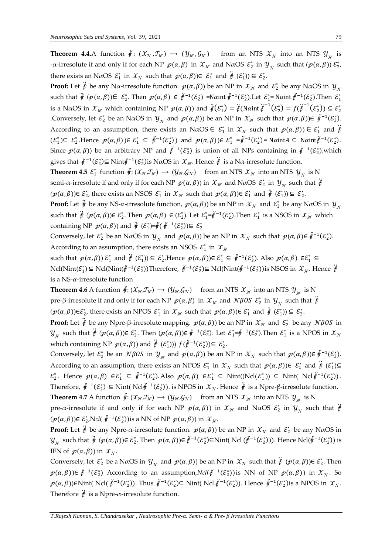**Theorem 4.4.**A function  $\ddot{f}: (\mathcal{X}_N, \mathcal{I}_N) \to (\mathcal{Y}_N, \mathcal{G}_N)$  from an NTS  $\mathcal{X}_N$  into an NTS  $\mathcal{Y}_N$  is -α-irresolute if and only if for each NP  $p(\alpha, \beta)$  in  $\mathcal{X}_\mathcal{N}$  and NaOS  $\mathcal{E}_2^*$  in  $\mathcal{Y}_\mathcal{N}$  such that  $(p(\alpha, \beta)) \mathcal{E}_2^*$ , there exists an N $\alpha$ OS  $\mathcal{E}_1^*$  in  $\mathcal{X}_\mathcal{N}$  such that  $p(\alpha, \beta))\in \mathcal{E}_1^*$  and  $\ddot{\theta}(\mathcal{E}_1^*))\subseteq \mathcal{E}_2^*$ .

**Proof:** Let  $\ddot{\vec{r}}$  be any N $\alpha$ -irresolute function.  $p(\alpha, \beta)$ ) be an NP in  $X_N$  and  $\mathcal{E}_2^*$  be any N $\alpha$ OS in  $y_{\gamma}$ such that  $\ddot{\phi}$  ( $\mathcal{p}(\alpha,\beta)$ )  $\in \mathcal{E}_2^*$ . Then  $\mathcal{p}(\alpha,\beta) \in \ddot{\theta}^{-1}(\mathcal{E}_2^*)$  =N $\alpha$ int  $\ddot{\theta}^{-1}(\mathcal{E}_2^*)$ .Let  $\mathcal{E}_1^*$ = N $\alpha$ int  $\ddot{\theta}^{-1}(\mathcal{E}_2^*)$ .Then  $\mathcal{E}_1^*$ is a NaOS in  $\mathcal{X}_\mathcal{N}$  which containing NP  $p(\alpha, \beta)$ ) and  $\ddot{\mathcal{J}}(\mathcal{E}_1^*) = \ddot{\mathcal{J}}(\text{Naint } \ddot{\mathcal{J}}^{-1}(\mathcal{E}_2^*) = f(\ddot{\mathcal{J}}^{-1}(\mathcal{E}_2^*)) \subseteq \mathcal{E}_2^*$ .Conversely, let  $\mathcal{E}_2^*$  be an N $\alpha$ OS in  $\mathcal{Y}_N$  and  $p(\alpha, \beta)$ ) be an NP in  $\mathcal{X}_N$  such that  $p(\alpha, \beta)$ ) $\in \ddot{p}^{-1}(\mathcal{E}_2^*)$ . According to an assumption, there exists an N $\alpha$ OS  $\in$   $\mathcal{E}_1^*$  in  $\mathcal{X}_\mathcal{N}$  such that  $p(\alpha,\beta)$ )  $\in$   $\mathcal{E}_1^*$  and  $\ddot{\theta}$  $(\mathcal{E}_1^*) \subseteq \mathcal{E}_2^*$ . Hence  $p(\alpha, \beta) \in \mathcal{E}_1^* \subseteq \ddot{F}^{-1}(\mathcal{E}_2^*)$  and  $p(\alpha, \beta) \in \mathcal{E}_1^* = \ddot{F}^{-1}(\mathcal{E}_2^*)$  Naint $A \subseteq \text{Naint} \ddot{F}^{-1}(\mathcal{E}_2^*)$ . Since  $p(\alpha, \beta)$ ) be an arbitrary NP and  $\ddot{r}^{-1}(\mathcal{E}_2^*)$  is union of all NPs containing in  $\ddot{r}^{-1}(\mathcal{E}_2^*)$ , which gives that  $\ddot{t}^{-1}(\mathcal{E}_2^*)$ ⊆ Nint $\ddot{t}^{-1}(\mathcal{E}_2^*)$ is NαOS in  $\mathcal{X_N}$ . Hence  $\ddot{t}$  is a Nα-irresolute function.

**Theorem 4.5**  $\varepsilon_1^*$  function  $\ddot{\theta}: (\mathcal{X}_N, \mathcal{I}_N) \to (\mathcal{Y}_N, \mathcal{G}_N)$  from an NTS  $\mathcal{X}_N$  into an NTS  $\mathcal{Y}_N$  is N semi-α-irresolute if and only if for each NP  $p(\alpha, \beta)$ ) in  $\mathcal{X}_\mathcal{N}$  and NαOS  $\mathcal{E}_2^*$  in  $\mathcal{Y}_\mathcal{N}$  such that  $\ddot{\mathcal{F}}$  $(\mathcal{p}(\alpha,\beta))\in \mathcal{E}_2^*$ , there exists an NSOS  $\mathcal{E}_1^*$  in  $\mathcal{X}_\mathcal{N}$  such that  $\mathcal{p}(\alpha,\beta))\in \mathcal{E}_1^*$  and  $\ddot{\vec{\mathcal{f}}}(\mathcal{E}_1^*)) \subseteq \mathcal{E}_2^*$ .

**Proof:** Let  $\ddot{\theta}$  be any NS- $\alpha$ -irresolute function,  $p(\alpha, \beta)$ ) be an NP in  $\mathcal{X}_\mathcal{N}$  and  $\mathcal{E}_2^*$  be any N $\alpha$ OS in  $\mathcal{Y}_\mathcal{N}$ such that  $\ddot{\mathcal{F}}(\mathcal{p}(\alpha,\beta))\in \mathcal{E}_2^*$ . Then  $\mathcal{p}(\alpha,\beta)\in (\mathcal{E}_2^*)$ . Let  $\mathcal{E}_1^*=\ddot{\mathcal{F}}^{-1}(\mathcal{E}_2^*)$ . Then  $\mathcal{E}_1^*$  is a NSOS in  $\mathcal{X}_\mathcal{N}$  which containing NP  $p(\alpha, \beta)$  and  $\ddot{\mathbf{\#}}(\mathcal{E}_1^*) = \ddot{\mathbf{\#}}(\ddot{\mathbf{\#}}^{-1}(\mathcal{E}_2^*)) \subseteq \mathcal{E}_2^*$ 

Conversely, let  $\mathcal{E}_2^*$  be an N $\alpha$ OS in  $\mathcal{Y}_\mathcal{N}$  and  $p(\alpha, \beta)$ ) be an NP in  $\mathcal{X}_\mathcal{N}$  such that  $p(\alpha, \beta) \in \ddot{p}^{-1}(\mathcal{E}_2^*)$ . According to an assumption, there exists an NSOS  $\mathcal{E}_1^*$  in  $\mathcal{X}_N$ 

such that  $p(\alpha, \beta)$ )  $\varepsilon_1^*$  and  $\ddot{\theta}$   $(\varepsilon_1^*)$ )  $\subseteq \varepsilon_2^*$ . Hence  $p(\alpha, \beta)$ ) $\in \varepsilon_1^* \subseteq \ddot{\theta}^{-1}(\varepsilon_2^*)$ . Also  $p(\alpha, \beta) \in \varepsilon_1^* \subseteq$  $Ncl(Nint({\cal E}_1^*)$  ⊆  $Ncl(Nint({\bf \vec{F}}^{-1}({\cal E}_2^*))$ Therefore,  $\bf \vec{F}^{-1}({\cal E}_2^*)$ ⊆  $Ncl(Nint({\bf \vec{F}}^{-1}({\cal E}_2^*))$ is NSOS in  $\cal X_N$ . Hence  $\bf \vec{F}$ is a NS- $\alpha$ -irresolute function

**Theorem 4.6** A function  $\ddot{\theta}$ :  $(\mathcal{X}_N, \mathcal{I}_N) \to (\mathcal{Y}_N, \mathcal{G}_N)$  from an NTS  $\mathcal{X}_N$  into an NTS  $\mathcal{Y}_N$  is N pre-β-irresolute if and only if for each NP  $p(\alpha, \beta)$  in  $\mathcal{X}_N$  and  $\mathcal{N}\beta$ OS  $\mathcal{E}_2^*$  in  $\mathcal{Y}_N$  such that  $\ddot{\vec{r}}$  $(\mathcal{p}(\alpha,\beta))\in \mathcal{E}_2^*$ , there exists an NPOS  $\mathcal{E}_1^*$  in  $\mathcal{X}_\mathcal{N}$  such that  $\mathcal{p}(\alpha,\beta))\in \mathcal{E}_1^*$  and  $\ddot{\vec{\mathcal{f}}}(\mathcal{E}_1^*))\subseteq \mathcal{E}_2^*$ .

**Proof:** Let  $\ddot{\theta}$  be any Npre-β-irresolute mapping.  $p(\alpha, \beta)$ ) be an NP in  $\mathcal{X}_N$  and  $\mathcal{E}_2^*$  be any  $\mathcal{N}\betaOS$  in  $\mathcal{Y}_N$  such that  $\ddot{\theta}$  ( $p(\alpha, \beta)$ )∈  $\varepsilon_2^*$ . Then ( $p(\alpha, \beta)$ )∈  $\ddot{\theta}^{-1}(\mathcal{E}_2^*)$ . Let  $\mathcal{E}_1^*=\ddot{\theta}^{-1}(\mathcal{E}_2^*)$ . Then  $\mathcal{E}_1^*$  is a NPOS in  $\mathcal{X}_N$ which containing NP  $p(\alpha, \beta)$  and  $\ddot{\mathcal{f}}(\mathcal{E}_1^*))$   $f(\ddot{\mathcal{f}}^{-1}(\mathcal{E}_2^*)) \subseteq \mathcal{E}_2^*$ .

Conversely, let  $\mathcal{E}_2^*$  be an  $\mathcal{N}\beta OS$  in  $\mathcal{Y}_\mathcal{N}$  and  $p(\alpha,\beta)$ ) be an NP in  $\mathcal{X}_\mathcal{N}$  such that  $p(\alpha,\beta))\in \ddot{p}^{-1}(\mathcal{E}_2^*).$ According to an assumption, there exists an NPOS  $\mathcal{E}_1^*$  in  $\mathcal{X}_\mathcal{N}$  such that  $p(\alpha,\beta))\in \mathcal{E}_1^*$  and  $\ddot{\vec{f}}(\mathcal{E}_1^*)\subseteq$  $\mathcal{E}_2^*$ . Hence  $p(\alpha, \beta) \in \mathcal{E}_1^* \subseteq \ddot{p}^{-1}(\mathcal{E}_2^*)$ . Also  $p(\alpha, \beta) \in \mathcal{E}_1^* \subseteq \text{Nint}(\text{Ncl}(\mathcal{E}_1^*)) \subseteq \text{Nint}(\text{Ncl}(\ddot{p}^{-1}(\mathcal{E}_2^*))$ . Therefore,  $\ddot{\theta}^{-1}(\mathcal{E}_2^*)$  ⊆ Nint( Ncl $\ddot{\theta}^{-1}(\mathcal{E}_2^*)$ ). is NPOS in  $\mathcal{X}_N$ . Hence  $\ddot{\theta}$  is a Npre-β-irresolute function. **Theorem 4.7** A function  $\ddot{\theta}: (\mathcal{X}_N, \mathcal{T}_N) \to (\mathcal{Y}_N, \mathcal{G}_N)$  from an NTS  $\mathcal{X}_N$  into an NTS  $\mathcal{Y}_N$  is N

pre- $\alpha$ -irresolute if and only if for each NP  $p(\alpha, \beta)$ ) in  $\mathcal{X}_\mathcal{N}$  and N $\alpha$ OS  $\mathcal{E}_2^*$  in  $\mathcal{Y}_\mathcal{N}$  such that  $\ddot{\vec{r}}$  $(\mathcal{p}(\alpha, \beta))\in \mathcal{E}_2^*$ , *Ncl*( $\ddot{\mathcal{F}}^{-1}(\mathcal{E}_2^*)$ ) is a NN of NP  $\mathcal{p}(\alpha, \beta)$ ) in  $\mathcal{X}_\mathcal{N}$ .

**Proof:** Let  $\ddot{\theta}$  be any Npre- $\alpha$ -irresolute function.  $p(\alpha, \beta)$ ) be an NP in  $\chi_{\gamma}$  and  $\mathcal{E}_2^*$  be any N $\alpha$ OS in  $\mathcal{Y}_N$  such that  $\ddot{\hat{\theta}}$  ( $\mathcal{p}(\alpha,\beta)$ )∈  $\mathcal{E}_2^*$ . Then  $\mathcal{p}(\alpha,\beta)$ )∈  $\ddot{\hat{\theta}}^{-1}(\mathcal{E}_2^*)$  is Nint( Ncl ( $\ddot{\hat{\theta}}^{-1}(\mathcal{E}_2^*))$ ). Hence Ncl( $\ddot{\hat{\theta}}^{-1}(\mathcal{E}_2^*)$ ) is IFN of  $p(\alpha, \beta)$  in  $\mathcal{X}_N$ .

Conversely, let  $\mathcal{E}_2^*$  be a N $\alpha$ OS in  $y_{\gamma}$  and  $p(\alpha, \beta)$ ) be an NP in  $\mathcal{X}_N$  such that  $\ddot{\vec{\theta}}$   $(p(\alpha, \beta))\in \mathcal{E}_2^*$ . Then  $p(\alpha, \beta)$ )∈  $\ddot{r}^{-1}(\mathcal{E}_2^*)$  According to an assumption,*Ncl*( $\ddot{r}^{-1}(\mathcal{E}_2^*)$ ) is NN of NP  $p(\alpha, \beta)$ ) in  $\mathcal{X}_{\mathcal{N}}$ . So  $p(\alpha,\beta)$ )∈Nint( Ncl( $\ddot{\ell}^{-1}(\mathcal{E}_2^*)$ ). Thus  $\ddot{\ell}^{-1}(\mathcal{E}_2^*)$ ⊆ Nint( Ncl  $\ddot{\ell}^{-1}(\mathcal{E}_2^*)$ ). Hence  $\ddot{\ell}^{-1}(\mathcal{E}_2^*)$ is a NPOS in  $\mathcal{X}_{\mathcal{N}}$ . Therefore  $\ddot{\hat{f}}$  is a Npre- $\alpha$ -irresolute function.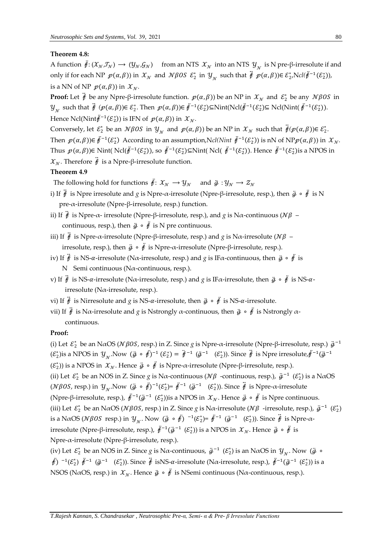## **Theorem 4.8:**

A function  $\ddot{\theta}$ :  $(\mathcal{X}_N, \mathcal{I}_N) \to (\mathcal{Y}_N, \mathcal{G}_N)$  from an NTS  $\mathcal{X}_N$  into an NTS  $\mathcal{Y}_N$  is N pre-β-irresolute if and only if for each NP  $p(\alpha, \beta)$ ) in  $\mathcal{X}_\mathcal{N}$  and  $\mathcal{N}\beta$ OS  $\mathcal{E}_2^*$  in  $\mathcal{Y}_\mathcal{N}$  such that  $\ddot{\mathcal{F}}$   $p(\alpha, \beta)$ ) $\in \mathcal{E}_2^*,$ Ncl $(\ddot{\mathcal{F}}^{-1}(\mathcal{E}_2^*))$ , is a NN of NP  $p(\alpha, \beta)$  in  $\mathcal{X}_N$ .

**Proof:** Let  $\ddot{\theta}$  be any Npre-β-irresolute function.  $p(\alpha, \beta)$ ) be an NP in  $\mathcal{X}_\mathcal{N}$  and  $\mathcal{E}_2^*$  be any  $\mathcal{N}\beta O S$  in  $\mathcal{Y}_{\mathcal{N}}$  such that  $\ddot{\mathcal{F}}(\mathcal{p}(\alpha,\beta))\in \mathcal{E}_2^*$ . Then  $\mathcal{p}(\alpha,\beta))\in \ddot{\mathcal{F}}^{-1}(\mathcal{E}_2^*)$ ⊆Nint(Ncl( $\ddot{\mathcal{F}}^{-1}(\mathcal{E}_2^*)$ ). Hence Ncl(Nint $\ddot{\ell}^{-1}(\mathcal{E}_2^*)$ ) is IFN of  $p(\alpha, \beta)$ ) in  $\mathcal{X}_\mathcal{N}$ .

Conversely, let  $\mathcal{E}_2^*$  be an  $N\beta OS$  in  $\mathcal{Y}_N$  and  $p(\alpha, \beta)$ ) be an NP in  $\mathcal{X}_N$  such that  $\ddot{\vec{f}}(p(\alpha, \beta))\in \mathcal{E}_2^*$ . Then  $p(\alpha, \beta) \in \ddot{F}^{-1}(\mathcal{E}_2^*)$  According to an assumption,N*cl*(*Nint*  $\ddot{F}^{-1}(\mathcal{E}_2^*)$ ) is nN of NP $p(\alpha, \beta)$ ) in  $\mathcal{X}_\mathcal{N}$ . Thus  $p(\alpha, \beta)$ )∈ Nint( Ncl( $\ddot{\theta}^{-1}(\mathcal{E}_2^*)$ ), so  $\ddot{\theta}^{-1}(\mathcal{E}_2^*)$ ⊆Nint( Ncl(  $\ddot{\theta}^{-1}(\mathcal{E}_2^*)$ ). Hence  $\ddot{\theta}^{-1}(\mathcal{E}_2^*)$ is a NPOS in  $\mathcal{X}_{\mathcal{N}}$ . Therefore  $\ddot{\mathcal{F}}$  is a Npre-β-irresolute function.

## **Theorem 4.9**

The following hold for functions  $\ddot{\mathbf{f}}: \mathcal{X}_N \to \mathcal{Y}_N$  and  $\ddot{\mathbf{g}}: \mathcal{Y}_N \to \mathcal{Z}_N$ 

- i) If  $\ddot{t}$  is Npre irresolute and *g* is Npre-α-irresolute (Npre-β-irresolute, resp.), then  $\ddot{g} \circ \ddot{f}$  is N pre-α-irresolute (Npre-β-irresolute, resp.) function.
- ii) If  $\ddot{\theta}$  is Npre-α- irresolute (Npre-β-irresolute, resp.), and *g* is Nα-continuous ( $N\beta$  continuous, resp.), then  $\ddot{g} \circ \ddot{f}$  is N pre continuous.
- iii) If  $\ddot{\theta}$  is Npre-α-irresolute (Npre-β-irresolute, resp.) and *g* is Nα-irresolute ( $N\beta$  irresolute, resp.), then  $\ddot{g} \circ \ddot{f}$  is Npre-α-irresolute (Npre-β-irresolute, resp.).
- iv) If  $\ddot{\theta}$  is NS-α-irresolute (Nα-irresolute, resp.) and *g* is IFα-continuous, then  $\ddot{g} \circ \ddot{f}$  is N Semi continuous (Nα-continuous, resp.).
- v) If  $\ddot{t}$  is NS-α-irresolute (Nα-irresolute, resp.) and *g* is IFα-irresolute, then  $\ddot{g} \circ \ddot{f}$  is NS-αirresolute (Nα-irresolute, resp.).
- vi) If  $\ddot{\theta}$  is Nirresolute and *g* is NS-α-irresolute, then  $\ddot{g} \circ \ddot{\theta}$  is NS-α-irresolute.
- vii) If  $\ddot{f}$  is Nα-irresolute and *g* is Nstrongly α-continuous, then  $\ddot{g} \circ f$  is Nstrongly αcontinuous.

## **Proof:**

(i) Let  $\mathcal{E}_2^*$  be an N $\alpha$ OS ( $\mathcal{N}\beta$ OS, resp.) in Z. Since *g* is Npre- $\alpha$ -irresolute (Npre-β-irresolute, resp.)  $\ddot{g}^{-1}$  $(\mathcal{E}_2^*)$ is a NPOS in  $\mathcal{Y}_{\mathcal{N}}$ . Now  $(\ddot{g} \circ \ddot{f})^{-1} (\mathcal{E}_2^*) = \ddot{f}^{-1} (\ddot{g}^{-1} (\mathcal{E}_2^*))$ . Since  $\ddot{f}$  is Npre irresolute, $\ddot{f}^{-1}(\ddot{g}^{-1})$ 

( $\varepsilon_2^*$ )) is a NPOS in  $\mathcal{X}_{\mathcal{N}}$ . Hence  $\ddot{\mathcal{Y}} \circ \ddot{\mathcal{Y}}$  is Npre-α-irresolute (Npre-β-irresolute, resp.).

(ii) Let  $\mathcal{E}_2^*$  be an NOS in Z. Since *g* is N $\alpha$ -continuous ( $\mathcal{N}\beta$  -continuous, resp.),  $\ddot{g}^{-1}(\mathcal{E}_2^*)$  is a N $\alpha$ OS ( $N\beta$ OS, resp.) in  $\mathcal{Y}_N$ . Now  $(\ddot{g} \circ \ddot{f})^{-1}(\mathcal{E}_2^*) = \ddot{f}^{-1}(\ddot{g}^{-1}(\mathcal{E}_2^*))$ . Since  $\ddot{f}$  is Npre- $\alpha$ -irresolute (Npre-β-irresolute, resp.),  $\ddot{\#}^{-1}(\ddot{g}^{-1}(\mathcal{E}_2^*))$ is a NPOS in  $\mathcal{X_N}$ . Hence  $\ddot{g} \circ \ddot{f}$  is Npre continuous. (iii) Let  $\mathcal{E}_2^*$  be an N $\alpha$ OS ( $\mathcal{N}\beta$ OS, resp.) in Z. Since *g* is N $\alpha$ -irresolute ( $\mathcal{N}\beta$ -irresolute, resp.),  $\ddot{g}^{-1}(\mathcal{E}_2^*)$ is a N $\alpha$ OS ( $\mathcal{N}\beta$ OS resp.) in  $\mathcal{Y}_{\mathcal{N}}$ . Now  $(\ddot{\mathcal{g}} \circ \ddot{\mathcal{f}})^{-1}(\mathcal{E}_2^*)$ =  $\ddot{\mathcal{f}}^{-1}$   $(\ddot{\mathcal{g}}^{-1}$   $(\mathcal{E}_2^*)$ ). Since  $\ddot{\mathcal{f}}$  is Npre- $\alpha$ irresolute (Npre-β-irresolute, resp.),  $\ddot{f}^{-1}(\ddot{g}^{-1}(\mathcal{E}_2^*))$  is a NPOS in  $\mathcal{X_N}$ . Hence  $\ddot{g} \circ \ddot{f}$  is Npre-α-irresolute (Npre-β-irresolute, resp.).

(iv) Let  $\mathcal{E}_2^*$  be an NOS in Z. Since *g* is N $\alpha$ -continuous,  $\ddot{g}^{-1}(\mathcal{E}_2^*)$  is an N $\alpha$ OS in  $\mathcal{Y}_{\mathcal{N}}$ . Now  $(\ddot{g} \circ$  $\ddot{\theta}$ )  $^{-1}(\mathcal{E}_2^*)$   $\ddot{\theta}^{-1}$   $(\ddot{\theta}_2^{-1}$   $(\mathcal{E}_2^*))$ . Since  $\ddot{\theta}$  isNS- $\alpha$ -irresolute (N $\alpha$ -irresolute, resp.),  $\ddot{\theta}^{-1}(\ddot{\theta}^{-1}(\mathcal{E}_2^*))$  is a NSOS (NaOS, resp.) in  $\mathcal{X}_N$ . Hence  $\ddot{g} \circ \ddot{f}$  is NSemi continuous (Na-continuous, resp.).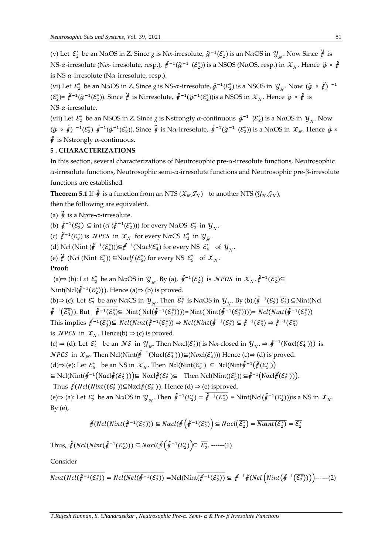(v) Let  $\mathcal{E}_2^*$  be an N $\alpha$ OS in Z. Since *g* is N $\alpha$ -irresolute,  $\ddot{g}^{-1}(\mathcal{E}_2^*)$  is an N $\alpha$ OS in  $y_{\gamma}$ . Now Since  $\ddot{f}$  is NS-α-irresolute (Nα- irresolute, resp.),  $\ddot{f}^{-1}(\ddot{g}^{-1}(\mathcal{E}_2^*))$  is a NSOS (NαOS, resp.) in  $\mathcal{X}_\mathcal{N}$ . Hence  $\ddot{g} \circ \ddot{f}$ is NS- $\alpha$ -irresolute (N $\alpha$ -irresolute, resp.).

(vi) Let  $\mathcal{E}_2^*$  be an N $\alpha$ OS in Z. Since  $g$  is NS- $\alpha$ -irresolute,  $\ddot{g}^{-1}(\mathcal{E}_2^*)$  is a NSOS in  $\mathcal{Y}_\gamma$ . Now  $(\ddot{g} \circ \ddot{f})^{-1}$  $(\mathcal{E}_2^*)$ =  $\ddot{f}^{-1}(\ddot{g}^{-1}(\mathcal{E}_2^*))$ . Since  $\ddot{f}$  is Nirresolute,  $\ddot{f}^{-1}(\ddot{g}^{-1}(\mathcal{E}_2^*))$ is a NSOS in  $\mathcal{X}_N$ . Hence  $\ddot{g} \circ \ddot{f}$  is  $NS-\alpha$ -irresolute.

(vii) Let  $\mathcal{E}_2^*$  be an NSOS in Z. Since *g* is Nstrongly  $\alpha$ -continuous  $\ddot{g}^{-1}(\mathcal{E}_2^*)$  is a N $\alpha$ OS in  $y_{\gamma}$ . Now  $(\ddot{g} \circ \ddot{f})^{-1}(\mathcal{E}_2^*) \ddot{f}^{-1}(\ddot{g}^{-1}(\mathcal{E}_2^*))$ . Since  $\ddot{f}$  is N $\alpha$ -irresolute,  $\ddot{f}^{-1}(\ddot{g}^{-1}(\mathcal{E}_2^*))$  is a N $\alpha$ OS in  $\mathcal{X}_\mathcal{N}$ . Hence  $\ddot{g} \circ$  $\ddot{\hat{f}}$  is Nstrongly  $\alpha$ -continuous.

## **5 . CHARACTERIZATIONS**

In this section, several characterizations of Neutrosophic pre-α-irresolute functions, Neutrosophic α-irresolute functions, Neutrosophic semi-α-irresolute functions and Neutrosophic pre-β-irresolute functions are established

**Theorem 5.1** If  $\ddot{\mathbf{\hat{f}}}$  is a function from an NTS  $(\mathcal{X}_N, \mathcal{I}_N)$  to another NTS  $(\mathcal{Y}_N, \mathcal{G}_N)$ ,

then the following are equivalent.

(a)  $\ddot{\hat{f}}$  is a Npre- $\alpha$ -irresolute.

(b)  $\ddot{\mathbf{\#}}^{-1}(\mathcal{E}_2^*) \subseteq \text{int} (cl(\ddot{\mathbf{\mathcal{F}}}^{-1}(\mathcal{E}_2^*)))$  for every NaOS  $\mathcal{E}_2^*$  in  $\mathcal{Y}_{\mathcal{N}}$ .

(c)  $\ddot{\mathcal{F}}^{-1}(\mathcal{E}_3^*)$  is  $\mathcal{NPCS}$  in  $\mathcal{X_N}$  for every NaCS  $\mathcal{E}_3^*$  in  $\mathcal{Y_N}$ .

(d) Ncl (Nint  $(\ddot{\mathbf{\varepsilon}}^{-1}(\mathcal{E}_4^*))$ ) $\subseteq \ddot{\mathbf{\varepsilon}}^{-1}(\text{N}\alpha \text{cl}(\mathcal{E}_4^*)$  for every NS  $\mathcal{E}_4^*$  of  $\mathcal{Y}_\gamma$ .

(e)  $\ddot{\theta}$  (N*cl* (Nint  $\mathcal{E}_5^*$ ))  $\subseteq$ N $\alpha$ *clf* ( $\mathcal{E}_5^*$ ) for every NS  $\mathcal{E}_5^*$  of  $\mathcal{X}_\mathcal{N}$ .

## **Proof:**

(a)⇒ (b): Let  $\mathcal{E}_2^*$  be an N $\alpha$ OS in  $\mathcal{Y}_{\gamma}$ . By (a),  $\ddot{\mathcal{F}}^{-1}(\mathcal{E}_2^*)$  is  $\mathcal{NPOS}$  in  $\mathcal{X}_{\gamma}$ .  $\ddot{\mathcal{F}}^{-1}(\mathcal{E}_2^*)$ ⊆ Nint(Ncl $(\ddot{\mathbf{\#}}^{-1}(\mathcal{E}_2^*)))$ . Hence (a)⇒ (b) is proved.

(b)⇒ (c): Let  $\mathcal{E}_3^*$  be any N $\alpha$ CS in  $\mathcal{Y}_\gamma$ . Then  $\overline{\mathcal{E}_3^*}$  is N $\alpha$ OS in  $\mathcal{Y}_\gamma$ . By (b), $(\ddot{\vec{r}}^{-1}(\mathcal{E}_3^*)\ \overline{\mathcal{E}_3^*})$  ⊆Nint(Ncl  $\ddot{\vec{r}}^{-1}(\overline{\vec{\xi}_{3}})$ . But  $\overline{\dot{\vec{\xi}}^{-1}(\vec{\xi}_{3})}$  Nint( Ncl( $\overline{\dot{\vec{\xi}}^{-1}(\vec{\xi}_{3})}$ )))= Nint( Nint( $\overline{\dot{\vec{\xi}}^{-1}(\vec{\xi}_{3})}$ )))=  $\overline{Ncl(Nint(\ddot{\vec{\xi}}^{-1}(\vec{\xi}_{3}))}$ This implies  $\vec{\mathbf{\mathit{f}}}^{-1}(\mathcal{E}_3^*) \subseteq \overline{Ncl(Nint(\vec{\mathit{f}}^{-1}(\mathcal{E}_3^*))} \Rightarrow \overline{Ncl(Nint(\vec{\mathit{f}}^{-1}(\mathcal{E}_3^*)} \subseteq \vec{\mathit{f}}^{-1}(\mathcal{E}_3^*) \Rightarrow \vec{\mathit{f}}^{-1}(\mathcal{E}_3^*)$ is *NPCS* in  $\mathcal{X}_N$ . Hence(b)  $\Rightarrow$  (c) is proved. (c)  $\Rightarrow$  (d): Let  $\mathcal{E}_4^*$  be an  $\mathcal{NS}$  in  $\mathcal{Y}_N$ . Then  $N\alpha cl(\mathcal{E}_4^*)$ ) is  $N\alpha$ -closed in  $\mathcal{Y}_N \Rightarrow \ddot{\theta}^{-1}(N\alpha cl(\mathcal{E}_4^*))$  is

*NPCS* in  $\mathcal{X}_{\mathcal{N}}$ . Then Ncl(Nint( $\ddot{\mathcal{F}}^{-1}$ (Nαcl( $\mathcal{E}_4^*$ )))⊆(Nαcl( $\mathcal{E}_4^*$ ))) Hence (c)⇒ (d) is proved.

(d)⇒ (e): Let  $\mathcal{E}_5^*$  be an NS in  $\mathcal{X}_N$ . Then  $Ncl(Nint(\mathcal{E}_5^*)$  ⊆  $Ncl(Nint(\mathcal{F}_7^{-1}(\mathcal{F}(\mathcal{E}_5^*))$ 

 $\subseteq Ncl(Nint(\ddot{f}^{-1}(Nacl\ddot{f}(\mathcal{E}_5^*)))\subseteq Nacl\ddot{f}(\mathcal{E}_5^*)\subseteq \text{ Then } Ncl(Nint((\mathcal{E}_5^*))\subseteq \ddot{f}^{-1}(Nacl\ddot{f}(\mathcal{E}_5^*)))$ .

Thus  $\ddot{\mathcal{J}}(Ncl(Nint((\mathcal{E}_5^*))\subseteq \mathbb{N}\alpha \text{cl}\ddot{\mathcal{J}}(\mathcal{E}_5^*))$ . Hence (d)  $\Rightarrow$  (e) isproved.

(e)⇒ (a): Let  $\mathcal{E}_2^*$  be an NαOS in  $\mathcal{Y}_{\mathcal{N}}$ . Then  $\ddot{\mathcal{F}}^{-1}(\mathcal{E}_2^*) = \overline{\dot{\mathcal{F}}^{-1}(\mathcal{E}_2^*)}$  = Nint(Ncl( $\ddot{\mathcal{F}}^{-1}(\mathcal{E}_2^*)$ )) is a NS in  $\mathcal{X}_{\mathcal{N}}$ .  $By (e),$ 

$$
\ddot{\mathcal{F}}(Ncl(Nint(\ddot{\mathcal{F}}^{-1}(\mathcal{E}^*_2))) \subseteq Nacl(\ddot{\mathcal{F}}\left(\ddot{\mathcal{F}}^{-1}(\mathcal{E}^*_2)\right) \subseteq Nacl(\overline{\mathcal{E}^*_2}) = \overline{Nant(\mathcal{E}^*_2)} = \overline{\mathcal{E}^*_2}
$$

Thus,  $\ddot{f}(Ncl(Nint(\ddot{f}^{-1}(\mathcal{E}_2^*))) \subseteq Nacl(\ddot{f}(\ddot{f}^{-1}(\mathcal{E}_2^*)) \subseteq \overline{\mathcal{E}_2^*}. \ \---(1)$ 

Consider

$$
\overline{Nint(Ncl(\ddot{f}^{-1}(\mathcal{E}_2^*))}=Ncl(\overline{Ncl(\ddot{f}^{-1}(\mathcal{E}_2^*))}=\mathrm{Ncl}(\mathrm{Nint}(\ddot{f}^{-1}(\mathcal{E}_2^*))\subseteq \ddot{f}^{-1}\ddot{f}(Ncl\left(\mathrm{Nint}(\ddot{f}^{-1}(\overline{\mathcal{E}_2^*))\right))\bigg)\text{----(2)}
$$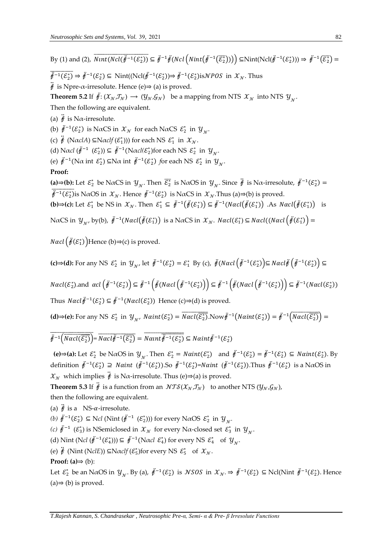By (1) and (2),  $\overline{Nint(Ncl(\ddot{\hat{f}}^{-1}(\mathcal{E}_2^*))} \subseteq \ddot{\hat{f}}^{-1}\ddot{\hat{f}}(Ncl(\overline{N}int(\ddot{\hat{f}}^{-1}(\overline{\mathcal{E}_2^*}))) \bigg) \subseteq \text{Nint}(\text{Ncl}(\ddot{\hat{f}}^{-1}(\mathcal{E}_2^*))) \Rightarrow \ddot{\hat{f}}^{-1}(\overline{\mathcal{E}_2^*}) =$ 

 $\overline{\dot{\theta}^{-1}(\mathcal{E}_2^*)} \Rightarrow \overline{\dot{\theta}^{-1}(\mathcal{E}_2^*)} \subseteq \text{Nint}(\text{Ncl}(\overline{\dot{\theta}^{-1}(\mathcal{E}_2^*)}) \Rightarrow \overline{\dot{\theta}^{-1}(\mathcal{E}_2^*)} \text{isNPOS in } \mathcal{X}_N. \text{Thus}$ 

 $\ddot{\hat{f}}$  is Npre- $\alpha$ -irresolute. Hence (e) $\Rightarrow$  (a) is proved.

**Theorem 5.2** If  $\ddot{\mathbf{\#}}: (\mathcal{X}_N, \mathcal{I}_N) \to (\mathcal{Y}_N, \mathcal{G}_N)$  be a mapping from NTS  $\mathcal{X}_N$  into NTS  $\mathcal{Y}_N$ .

Then the following are equivalent.

(a)  $\ddot{\hat{f}}$  is N $\alpha$ -irresolute.

(b)  $\ddot{\ell}^{-1}(\mathcal{E}_2^*)$  is NaCS in  $\mathcal{X}_\mathcal{N}$  for each NaCS  $\mathcal{E}_2^*$  in  $\mathcal{Y}_\mathcal{N}$ .

(c)  $\ddot{\vec{r}}$  (NaclA)  $\subseteq$ Naclf  $(\mathcal{E}_1^*$ ))) for each NS  $\mathcal{E}_1^*$  in  $\mathcal{X}_N$ .

(d) Nacl  $(\ddot{\theta}^{-1} (\mathcal{E}_2^*)) \subseteq \ddot{\theta}^{-1}(\text{N} \alpha \text{cl} (\mathcal{E}_2^*)$  for each NS  $\mathcal{E}_2^*$  in  $\mathcal{Y}_\gamma$ .

(e)  $\ddot{\mathcal{F}}^{-1}(\text{N}\alpha \text{ int } \mathcal{E}_2^*) \subseteq \text{N}\alpha \text{ int } \ddot{\mathcal{F}}^{-1}(\mathcal{E}_2^*) \text{ for each NS } \mathcal{E}_2^* \text{ in } \mathcal{Y}_\gamma.$ 

## **Proof:**

**(a)⇒(b):** Let  $\mathcal{E}_2^*$  be NαCS in  $\mathcal{Y}_{\mathcal{N}}$ . Then  $\overline{\mathcal{E}_2^*}$  is NαOS in  $\mathcal{Y}_{\mathcal{N}}$ . Since  $\ddot{\vec{\theta}}$  is Nα-irresolute,  $\ddot{\vec{\theta}}^{-1}(\mathcal{E}_2^*)$  =  $\overline{\dot{\theta}^{-1}(\mathcal{E}_2^*)}$ is NαOS in  $\mathcal{X}_{\mathcal{N}}$ . Hence  $\dot{\theta}^{-1}(\mathcal{E}_2^*)$  is NαCS in  $\mathcal{X}_{\mathcal{N}}$ . Thus (a)⇒(b) is proved.

**(b)⇒(c):** Let  $\mathcal{E}_1^*$  be NS in  $\mathcal{X}_N$ . Then  $\mathcal{E}_1^* \subseteq \ddot{p}^{-1}(\ddot{p}(\mathcal{E}_1^*)) \subseteq \ddot{p}^{-1}(Nacl(\ddot{p}(\mathcal{E}_1^*))$ . As  $Nacl(\ddot{p}(\mathcal{E}_1^*))$  is

NaCS in  $y_{\gamma}$ , by(b),  $\ddot{r}^{-1}(Nacl(\ddot{r}(\mathcal{E}_1^*))$  is a NaCS in  $\mathcal{X}_\gamma$ .  $Nacl(\mathcal{E}_1^*)\subseteq Nacl((Nacl\left(\ddot{r}(\mathcal{E}_1^*)\right)=$ 

*Nacl*  $\left(\ddot{\#}(\mathcal{E}^*_1)\right)$ Hence (b)⇒(c) is proved.

**(c)⇒(d):** For any NS  $\varepsilon_2^*$  in  $y_{\gamma'}$  let  $\ddot{\mathbf{\#}}^{-1}(\varepsilon_2^*) = \varepsilon_1^*$  By (c),  $\ddot{\mathbf{\#}}(\text{Nacl}\left(\ddot{\mathbf{\#}}^{-1}(\varepsilon_2^*)\right) \subseteq \text{Nacl}\ddot{\mathbf{\#}}\left(\ddot{\mathbf{\#}}^{-1}(\varepsilon_2^*)\right) \subseteq$ 

 $Nacl(\mathcal{E}_{2}^{*})$ .and  $acl\left(\ddot{\mathit{F}}^{-1}(\mathcal{E}_{2}^{*})\right)\subseteq \ddot{\mathit{F}}^{-1}\left(\ddot{\mathit{F}}(Nacl\left(\ddot{\mathit{F}}^{-1}(\mathcal{E}_{2}^{*})\right)\right)\subseteq \ddot{\mathit{F}}^{-1}\left(\ddot{\mathit{F}}(Nacl\left(\ddot{\mathit{F}}^{-1}(\mathcal{E}_{2}^{*})\right)\right)\subseteq \ddot{\mathit{F}}^{-1}(Nacl(\mathcal{E}_{2}^{*}))$ 

Thus  $\text{Nacl}\ddot{\theta}^{-1}(\mathcal{E}_2^*) \subseteq \ddot{\theta}^{-1}(\text{Nacl}(\mathcal{E}_2^*))$  Hence (c)⇒(d) is proved.

**(d)⇒(e):** For any NS  $\varepsilon_2^*$  in  $\mathcal{Y}_{\mathcal{N}'}$  Naint $(\varepsilon_2^*)$  =  $\overline{N}$ acl $(\overline{\varepsilon_2^*})$ . Now  $\ddot{\theta}^{-1}(N\alpha int(\varepsilon_2^*)) = \ddot{\theta}^{-1}(N\alpha cl(\overline{\varepsilon_2^*})$  =

 $\vec{\ddot{\theta}}^{-1}(\overline{Nacl(\overline{\mathcal{E}_2^*})}) = \overline{Nacl(\vec{\ddot{\theta}}^{-1}(\overline{\mathcal{E}_2^*})} = \overline{Nanh\vec{\ddot{\theta}}^{-1}(\mathcal{E}_2^*)} \subseteq Naint\vec{\ddot{\theta}}^{-1}(\mathcal{E}_2^*)$ 

**(e)⇒(a):** Let  $\mathcal{E}_2^*$  be NαOS in  $\mathcal{Y}_{\gamma}$ . Then  $\mathcal{E}_2^* = \text{Naint}(\mathcal{E}_2^*)$  and  $\ddot{f}^{-1}(\mathcal{E}_2^*) = \ddot{f}^{-1}(\mathcal{E}_2^*) \subseteq \text{Naint}(\mathcal{E}_2^*)$ . By definition  $\ddot{p}^{-1}(\mathcal{E}_2^*) \supseteq N \alpha$ int  $(\ddot{p}^{-1}(\mathcal{E}_2^*))$ .So  $\ddot{p}^{-1}(\mathcal{E}_2^*)$ =Naint  $(\ddot{p}^{-1}(\mathcal{E}_2^*))$ .Thus  $\ddot{p}^{-1}(\mathcal{E}_2^*)$  is a N $\alpha$ OS in  $\mathcal{X}_{\mathcal{N}}$  which implies  $\ddot{\mathcal{Y}}$  is N $\alpha$ -irresolute. Thus (e)⇒(a) is proved.

**Theorem 5.3** If  $\ddot{\mathbf{\hat{f}}}$  is a function from an  $NTS(\mathcal{X}_N, \mathcal{I}_N)$  to another NTS  $(\mathcal{Y}_N, \mathcal{G}_N)$ , then the following are equivalent.

(a)  $\ddot{\hat{\pi}}$  is a NS- $\alpha$ -irresolute.

(b)  $\ddot{\mathbf{\mathit{f}}}^{-1}(\mathcal{E}_2^*) \subseteq$  N*cl* (Nint  $(\ddot{\mathbf{\mathit{f}}}^{-1}(\mathcal{E}_2^*)))$  for every NaOS  $\mathcal{E}_2^*$  in  $\mathcal{Y}_{\gamma}$ .

(*c*)  $\ddot{t}$ <sup>-1</sup> ( $\mathcal{E}_3^*$ ) is NSemiclosed in  $\mathcal{X}_N$  for every Nα-closed set  $\mathcal{E}_3^*$  in  $\mathcal{Y}_N$ .

(d) Nint (N*cl*  $(\ddot{\mathbf{\#}}^{-1}(\mathcal{E}_4^*))$ )  $\subseteq \ddot{\mathbf{\#}}^{-1}(\text{N}\alpha c l \mathcal{E}_4^*)$  for every NS  $\mathcal{E}_4^*$  of  $\mathcal{Y}_\gamma$ .

(e)  $\ddot{\theta}$  (Nint (N*clE*))  $\subseteq$ N $\alpha$ *clf* ( $\mathcal{E}_5^*$ )for every NS  $\mathcal{E}_5^*$  of  $\mathcal{X}_\mathcal{N}$ .

**Proof: (a)**⇒ (b):

Let  $\mathcal{E}_2^*$  be an N $\alpha$ OS in  $\mathcal{Y}_N$ . By (a),  $\ddot{\mathcal{F}}^{-1}(\mathcal{E}_2^*)$  is *NSOS* in  $\mathcal{X}_N \Rightarrow \ddot{\mathcal{F}}^{-1}(\mathcal{E}_2^*) \subseteq \text{Ncl}(\text{Nint } \ddot{\mathcal{F}}^{-1}(\mathcal{E}_2^*)$ . Hence  $(a) \Rightarrow (b)$  is proved.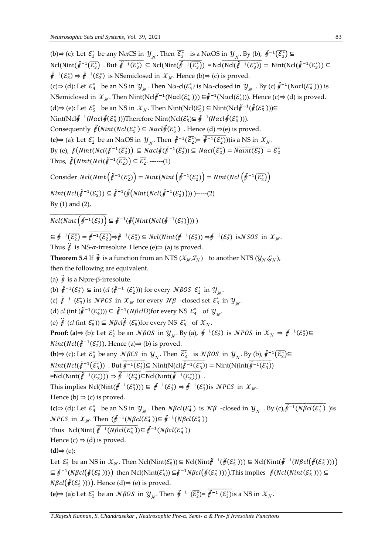(b)⇒ (c): Let  $\mathcal{E}_3^*$  be any N $\alpha$ CS in  $\mathcal{Y}_{\gamma}$ . Then  $\overline{\mathcal{E}_3^*}$  is a N $\alpha$ OS in  $\mathcal{Y}_{\gamma}$ . By (b),  $\overline{\mathcal{F}}^{-1}(\overline{\mathcal{E}_3^*})$  ⊆  $Ncl(Nint(\ddot{\tilde{f}}^{-1}(\overline{\mathcal{E}_3^*}))$   $\subseteq Ncl(Nint(\ddot{\tilde{f}}^{-1}(\overline{\mathcal{E}_3^*}))$   $\subseteq Ncl(\overline{Ncl(\ddot{\tilde{f}}^{-1}(\mathcal{E}_3^*))}$   $\subseteq Nint(Ncl(\ddot{\tilde{f}}^{-1}(\mathcal{E}_3^*))$   $\subseteq Ncl(\overline{Ncl(\ddot{\tilde{f}}^{-1}(\mathcal{E}_3^*))}$  $\ddot{\theta}^{-1}(\mathcal{E}_3^*)$   $\Rightarrow$   $\ddot{\theta}^{-1}(\mathcal{E}_3^*)$  is NSemiclosed in  $\mathcal{X}_\mathcal{N}$ . Hence (b)⇒ (c) is proved. (c)⇒ (d): Let  $\mathcal{E}_4^*$  be an NS in  $\mathcal{Y}_{\mathcal{N}}$ . Then N $\alpha$ -cl( $\mathcal{E}_4^*$ ) is N $\alpha$ -closed in  $\mathcal{Y}_{\mathcal{N}}$  . By (c)  $\ddot{\theta}^{-1}(\text{N}\alpha \text{cl}(\mathcal{E}_4^*))$ ) is NSemiclosed in  $\mathcal{X}_{\mathcal{N}}$ . Then Nint(Ncl $\ddot{\mathcal{F}}^{-1}(\text{N}\alpha \text{cl}(\mathcal{E}^*_4)))$  ⊆ $\ddot{\mathcal{F}}^{-1}(\text{N}\alpha \text{cl}(\mathcal{E}^*_4)))$ . Hence (c)⇒ (d) is proved. (d)⇒ (e): Let  $\mathcal{E}_5^*$  be an NS in  $\mathcal{X}_{\mathcal{N}}$ . Then Nint(Ncl $(\mathcal{E}_5^*)$  ⊆ Nint(Ncl $\ddot{\mathcal{F}}^{-1}(\ddot{\mathcal{F}}(\mathcal{E}_5^*)))$ ⊆ Nint(Ncl $\ddot{\theta}^{-1}(N \alpha c l \ddot{\theta}(\mathcal{E}_5^*))$ )Therefore Nint(Ncl $(\mathcal{E}_5^*) \subseteq \ddot{\theta}^{-1}(N \alpha c l \ddot{\theta}(\mathcal{E}_5^*))$ ). Consequently  $\ddot{\mathcal{J}}(Nint(Ncl(\mathcal{E}_5^*) \subseteq \text{N} \alpha cl \ddot{\mathcal{J}}(\mathcal{E}_5^*)$ . Hence (d)  $\Rightarrow$  (e) is proved. **(e)**⇒ (a): Let  $\mathcal{E}_2^*$  be an NαOS in  $\mathcal{Y}_{\mathcal{N}}$ . Then  $\ddot{\mathcal{F}}^{-1}(\overline{\mathcal{E}_2^*}) = \dot{\overline{\mathcal{F}}^{-1}(\mathcal{E}_2^*)}$ )) is a NS in  $\mathcal{X}_{\mathcal{N}}$ . By (e),  $\ddot{\theta}(Nint(Ncl(\ddot{\theta}^{-1}(\overline{\mathcal{E}_2^*})) \subseteq Nacl\ddot{\theta}(\ddot{\theta}^{-1}(\overline{\mathcal{E}_2^*})) \subseteq Nacl(\overline{\mathcal{E}_2^*}) = \overline{Nant(\mathcal{E}_2^*)} = \overline{\mathcal{E}_2^*}$ Thus,  $\ddot{\mathcal{J}}(Nint(Ncl(\ddot{\mathcal{J}}^{-1}(\overline{\mathcal{E}_2^*})) \subseteq \overline{\mathcal{E}_2^*}.$  ------(1) Consider  $Ncl(Nint\left(\ddot{f}^{-1}(\mathcal{E}^*_2)\right) = Nint(Nint\left(\ddot{f}^{-1}(\mathcal{E}^*_2)\right) = Nint(Ncl\left(\ddot{f}^{-1}(\overline{\mathcal{E}^*_2})\right)$  $Nint(Ncl(\ddot{\theta}^{-1}(\mathcal{E}_2^*)) \subseteq \ddot{\theta}^{-1}(\ddot{\theta}(Nint(Ncl(\ddot{\theta}^{-1}(\mathcal{E}_2^*)))))$ -----(2) By (1) and (2),  $Ncl(Nint\left(\ddot{f}^{-1}(\mathcal{E}_2^*)\right)) \subseteq \ddot{f}^{-1}(\ddot{f}(Nint(Ncl(\ddot{f}^{-1}(\mathcal{E}_2^*))))$  $\subseteq \ddot{f}^{-1}(\overline{\mathcal{E}^*_{2}}) = \ddot{f}^{-1}(\overline{\mathcal{E}^*_{2}}) \Rightarrow \ddot{f}^{-1}(\mathcal{E}^*_{2}) \subseteq Ncl(Nint(\ddot{f}^{-1}(\mathcal{E}^*_{2})) \Rightarrow \ddot{f}^{-1}(\mathcal{E}^*_{2}) \text{ isNSOS in } \mathcal{X}_{\mathcal{N}}.$ Thus  $\ddot{\hat{f}}$  is NS- $\alpha$ -irresolute. Hence (e) $\Rightarrow$  (a) is proved. **Theorem 5.4** If  $\ddot{\mathbf{\hat{f}}}$  is a function from an NTS  $(\mathcal{X}_N, \mathcal{I}_N)$  to another NTS  $(\mathcal{Y}_N, \mathcal{G}_N)$ , then the following are equivalent. (a)  $\ddot{\hat{f}}$  is a Npre-β-irresolute. (b)  $\ddot{\theta}^{-1}(\mathcal{E}_2^*) \subseteq \text{int} (cl (\ddot{\theta}^{-1} (\mathcal{E}_2^*))) \text{ for every } \mathcal{N}\beta\mathcal{O}\mathcal{S} \mathcal{E}_2^* \text{ in } \mathcal{Y}_\mathcal{N}.$ (c)  $\ddot{\mathbf{\mathit{f}}}^{-1}$  ( $\mathcal{E}_3^*$ ) is *NPCS* in  $\mathcal{X}_\mathcal{N}$  for every  $\mathcal{N}\beta$  -closed set  $\mathcal{E}_3^*$  in  $\mathcal{Y}_\mathcal{N}$ . (d) *cl* (int  $(\ddot{\theta}^{-1}(\mathcal{E}_4^*))) \subseteq \ddot{\theta}^{-1}(N\beta cID)$  for every NS  $\mathcal{E}_4^*$  of  $\mathcal{Y}_\gamma$ . (e)  $\ddot{\theta}$  (*cl* (int  $\mathcal{E}_5^*$ ))  $\subseteq N\beta cl \ddot{\theta}$  ( $\mathcal{E}_5^*$ )for every NS  $\mathcal{E}_5^*$  of  $\mathcal{X}_\mathcal{N}$ . **Proof:** (a)  $\Rightarrow$  (b): Let  $\mathcal{E}_2^*$  be an  $\mathcal{N}\beta OS$  in  $\mathcal{Y}_{\mathcal{N}}$ . By (a),  $\ddot{\mathcal{F}}^{-1}(\mathcal{E}_2^*)$  is  $\mathcal{N}POS$  in  $\mathcal{X}_{\mathcal{N}} \Rightarrow \ddot{\mathcal{F}}^{-1}(\mathcal{E}_2^*) \subseteq$ *Nint*( $Ncl(\ddot{\mathbf{\#}}^{-1}(\mathcal{E}_2^*))$ . Hence (a)⇒ (b) is proved. **(b)**⇒ (c): Let  $\mathcal{E}_3^*$  be any  $\mathcal{N}\beta CS$  in  $\mathcal{Y}_\gamma$ . Then  $\overline{\mathcal{E}_3^*}$  is  $\mathcal{N}\beta OS$  in  $\mathcal{Y}_\gamma$ . By (b),  $\ddot{\beta}^{-1}(\overline{\mathcal{E}_3^*})$ ⊆  $Nint(Ncl(\ddot{\tilde{f}}^{-1}(\overline{\mathcal{E}_3^*}))$ . But  $\ddot{\tilde{f}}^{-1}(\mathcal{E}_3^*)$   $\subseteq$  Nint(N(cl( $\ddot{\tilde{f}}^{-1}(\mathcal{E}_3^*)$ )  $=$  Nint(N(int( $\ddot{\tilde{f}}^{-1}(\mathcal{E}_3^*)$ )  $=$ Ncl(Nint( $\ddot{\vec{\theta}}^{-1}(\mathcal{E}_3^*))$ )  $\Rightarrow \ddot{\vec{\theta}}^{-1}(\mathcal{E}_3^*)$  $\subseteq$ Ncl(Nint( $\ddot{\vec{\theta}}^{-1}(\mathcal{E}_3^*))$ ). This implies  $Ncl(Nint(\ddot{\theta}^{-1}(\mathcal{E}_3^*))) \subseteq \ddot{\theta}^{-1}(\mathcal{E}_3^*) \Rightarrow \ddot{\theta}^{-1}(\mathcal{E}_3^*)$  is  $\mathcal{NPCS}$  in  $\mathcal{X}_{\mathcal{N}}$ .

Hence (b)  $\Rightarrow$  (c) is proved.

**(c)**⇒ (d): Let  $\mathcal{E}_4^*$  be an NS in  $\mathcal{Y}_N$ . Then  $N\beta cl(\mathcal{E}_4^*)$  is  $N\beta$  -closed in  $\mathcal{Y}_N$  . By (c),  $\ddot{\vec{f}}^{-1}(N\beta cl(\mathcal{E}_4^*)$  ) is *NPCS* in  $\mathcal{X}_N$ . Then  $(\ddot{\mathcal{F}}^{-1}(N\beta cl(\mathcal{E}_4^*)) \subseteq \ddot{\mathcal{F}}^{-1}(N\beta cl(\mathcal{E}_4^*))$ 

Thus Ncl(Nint(
$$
\overline{\ddot{f}^{-1}(N\beta cl(\mathcal{E}_4^*))}
$$
)  $\leq \ddot{f}^{-1}(N\beta cl(\mathcal{E}_4^*))$ )

Hence  $(c) \Rightarrow (d)$  is proved.

**(d)**⇒ (e):

Let  $\mathcal{E}_5^*$  be an NS in  $\mathcal{X}_{\mathcal{N}}$ . Then Ncl(Nint( $\mathcal{E}_5^*)$ )  $\subseteq$  Ncl(Nint $\mathcal{F}^{-1}(\mathcal{\mathcal{F}}(\mathcal{E}_5^*)))\subseteq$  Ncl(Nint( $\mathcal{\mathcal{F}}^{-1}(N\beta c l(\mathcal{\mathcal{F}}(\mathcal{E}_5^*)))$ )  $\subseteq \ddot{f}^{-1}(N\beta cl(\ddot{f}(\mathcal{E}_5^*)))$  then Ncl(Nint( $\mathcal{E}_5^*$ ))  $\subseteq \ddot{f}^{-1}N\beta cl(\ddot{f}(\mathcal{E}_5^*)))$ . This implies  $\ddot{f}(Ncl(Nint(\mathcal{E}_5^*)))$  $N\beta cl(\ddot{\theta}(\mathcal{E}_5^*)))$ . Hence (d)⇒ (e) is proved. **(e)**⇒ (a): Let  $\mathcal{E}_2^*$  be an  $\mathcal{N}\beta OS$  in  $\mathcal{Y}_{\gamma}$ . Then  $\ddot{\mathcal{F}}^{-1}$   $(\overline{\mathcal{E}_2^*}) = \overline{\ddot{\mathcal{F}}^{-1} (\mathcal{E}_2^*)}$  is a NS in  $\mathcal{X}_{\gamma}$ .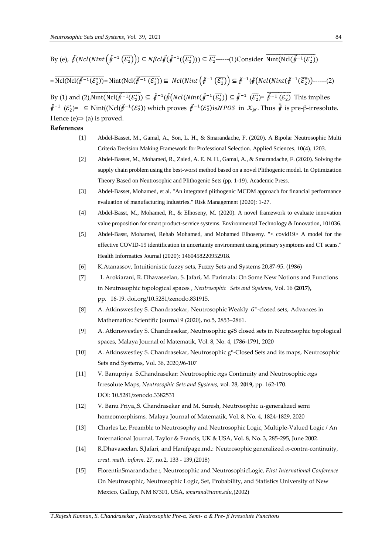By (e), 
$$
\ddot{\mathcal{F}}(Ncl(Nint(\ddot{\mathcal{F}}^{-1}(\overline{\mathcal{E}_2^*})) \subseteq N\beta cl\ddot{\mathcal{F}}(\ddot{\mathcal{F}}^{-1}((\overline{\mathcal{E}_2^*}))) \subseteq \overline{\mathcal{E}_2^*}
$$
---(1)Consider  $\overline{Nint(Ncl(\ddot{\mathcal{F}}^{-1}(\mathcal{E}_2^*))}$ 

 $=\overline{\mathrm{Ncl}(\mathrm{Ncl}(\ddot{\ddot{\theta}}^{-1}(\mathcal{E}_2^*))}=\mathrm{Nint}(\mathrm{Ncl}(\dddot{\ddot{\theta}}^{-1}(\mathcal{E}_2^*))\subseteq \mathrm{Ncl}(\mathrm{Nint}\left(\ddot{\ddot{\theta}}^{-1}(\overline{\mathcal{E}_2^*})\right)\subseteq \ddot{\ddot{\theta}}^{-1}(\dddot{\ddot{\theta}}(\mathrm{Ncl}(\mathrm{Nint}(\ddot{\ddot{\theta}}^{-1}(\overline{\mathcal{E}_2^*}))\right)-\cdots-(2))$ 

By (1) and (2),  $\overline{\text{Nint}(\text{Ncl}(\ddot{F}^{-1}(\mathcal{E}_2^*))} \subseteq \ddot{F}^{-1}(\ddot{F}(\ddot{F}(\text{Ncl}(\dot{N}int(\ddot{F}^{-1}(\overline{\mathcal{E}_2^*})) \subseteq \ddot{F}^{-1}(\overline{\mathcal{E}_2^*}) = \ddot{F}^{-1}(\mathcal{E}_2^*)$  This implies  $\ddot{\theta}$ <sup>-1</sup> ( $\mathcal{E}_2^*$ ) =  $\subseteq$  Nint((Ncl( $\ddot{\theta}$ <sup>-1</sup>( $\mathcal{E}_2^*$ )) which proves  $\ddot{\theta}$ <sup>-1</sup>( $\mathcal{E}_2^*$ )is NPOS in  $\mathcal{X}_N$ . Thus  $\ddot{\theta}$  is pre-β-irresolute. Hence (e) $\Rightarrow$  (a) is proved.

## **References**

- [1] Abdel-Basset, M., Gamal, A., Son, L. H., & Smarandache, F. (2020). A Bipolar Neutrosophic Multi Criteria Decision Making Framework for Professional Selection. Applied Sciences, 10(4), 1203.
- [2] Abdel-Basset, M., Mohamed, R., Zaied, A. E. N. H., Gamal, A., & Smarandache, F. (2020). Solving the supply chain problem using the best-worst method based on a novel Plithogenic model. In Optimization Theory Based on Neutrosophic and Plithogenic Sets (pp. 1-19). Academic Press.
- [3] Abdel-Basset, Mohamed, et al. "An integrated plithogenic MCDM approach for financial performance evaluation of manufacturing industries." Risk Management (2020): 1-27.
- [4] Abdel-Basst, M., Mohamed, R., & Elhoseny, M. (2020). A novel framework to evaluate innovation value proposition for smart product-service systems. Environmental Technology & Innovation, 101036.
- [5] Abdel-Basst, Mohamed, Rehab Mohamed, and Mohamed Elhoseny. "< covid19> A model for the effective COVID-19 identification in uncertainty environment using primary symptoms and CT scans." Health Informatics Journal (2020): 1460458220952918.
- [6] K.Atanassov, Intuitionistic fuzzy sets, Fuzzy Sets and Systems 20,87-95. (1986)
- [7] I. Arokiarani, R. Dhavaseelan, S. Jafari, M. Parimala: [On Some New Notions and Functions](http://fs.unm.edu/NSS/OnSomeNewNotionsAndFunctionsInNeutrosophic.pdf)  in [Neutrosophic topological spaces ,](http://fs.unm.edu/NSS/OnSomeNewNotionsAndFunctionsInNeutrosophic.pdf) *Neutrosophic Sets and Systems*, Vol. 16 **(2017),** pp. 16-19. [doi.org/10.5281/zenodo.831915.](https://doi.org/10.5281/zenodo.831915)
- [8] A. Atkinswestley S. Chandrasekar, Neutrosophic Weakly G\*-closed sets, Advances in Mathematics: Scientific Journal 9 (2020), no.5, 2853–2861.
- [9] A. Atkinswestley S. Chandrasekar, Neutrosophic g#S closed sets in Neutrosophic topological spaces, Malaya Journal of Matematik, Vol. 8, No. 4, 1786-1791, 2020
- [10] A. Atkinswestley S. Chandrasekar, Neutrosophic g\*-Closed Sets and its maps, Neutrosophic Sets and Systems, Vol. 36, 2020,96-107
- [11] V. Banupriya S.Chandrasekar: [Neutrosophic αgs Continuity and Neutrosophic αgs](http://fs.unm.edu/NSS/NeutrosophicContinuity.pdf)  [Irresolute Maps,](http://fs.unm.edu/NSS/NeutrosophicContinuity.pdf) *Neutrosophic Sets and Systems,* vol. 28, **2019,** pp. 162-170. DOI: [10.5281/zenodo.3382531](https://zenodo.org/record/3382531#.XWpDA3uxXIU)
- [12] V. Banu Priya,,S. Chandrasekar and M. Suresh, Neutrosophic  $\alpha$ -generalized semi homeomorphisms, Malaya Journal of Matematik, Vol. 8, No. 4, 1824-1829, 2020
- [13] Charles Le, Preamble to Neutrosophy and Neutrosophic Logic, Multiple-Valued Logic / An International Journal, Taylor & Francis, UK & USA, Vol. 8, No. 3, 285-295, June 2002.
- [14] R.Dhavaseelan, S.Jafari, and Hanifpage.md.: Neutrosophic generalized  $\alpha$ -contra-continuity, *creat. math. inform.* 27, no.2, 133 - 139,(2018)
- [15] FlorentinSmarandache.:, Neutrosophic and NeutrosophicLogic, *First International Conference* On Neutrosophic, Neutrosophic Logic, Set, Probability, and Statistics University of New Mexico, Gallup, NM 87301, USA, *smarand@unm.edu*,(2002)